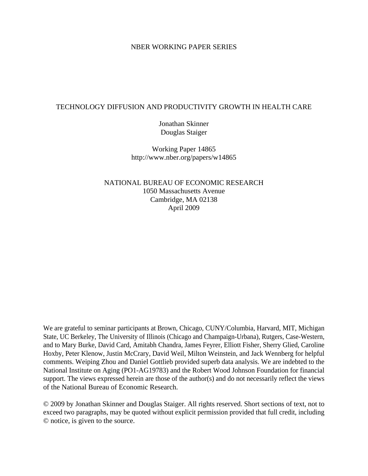#### NBER WORKING PAPER SERIES

### TECHNOLOGY DIFFUSION AND PRODUCTIVITY GROWTH IN HEALTH CARE

Jonathan Skinner Douglas Staiger

Working Paper 14865 http://www.nber.org/papers/w14865

NATIONAL BUREAU OF ECONOMIC RESEARCH 1050 Massachusetts Avenue Cambridge, MA 02138 April 2009

We are grateful to seminar participants at Brown, Chicago, CUNY/Columbia, Harvard, MIT, Michigan State, UC Berkeley, The University of Illinois (Chicago and Champaign-Urbana), Rutgers, Case-Western, and to Mary Burke, David Card, Amitabh Chandra, James Feyrer, Elliott Fisher, Sherry Glied, Caroline Hoxby, Peter Klenow, Justin McCrary, David Weil, Milton Weinstein, and Jack Wennberg for helpful comments. Weiping Zhou and Daniel Gottlieb provided superb data analysis. We are indebted to the National Institute on Aging (PO1-AG19783) and the Robert Wood Johnson Foundation for financial support. The views expressed herein are those of the author(s) and do not necessarily reflect the views of the National Bureau of Economic Research.

© 2009 by Jonathan Skinner and Douglas Staiger. All rights reserved. Short sections of text, not to exceed two paragraphs, may be quoted without explicit permission provided that full credit, including © notice, is given to the source.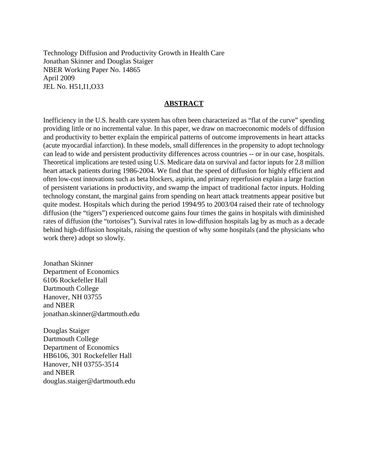Technology Diffusion and Productivity Growth in Health Care Jonathan Skinner and Douglas Staiger NBER Working Paper No. 14865 April 2009 JEL No. H51,I1,O33

#### **ABSTRACT**

Inefficiency in the U.S. health care system has often been characterized as "flat of the curve" spending providing little or no incremental value. In this paper, we draw on macroeconomic models of diffusion and productivity to better explain the empirical patterns of outcome improvements in heart attacks (acute myocardial infarction). In these models, small differences in the propensity to adopt technology can lead to wide and persistent productivity differences across countries -- or in our case, hospitals. Theoretical implications are tested using U.S. Medicare data on survival and factor inputs for 2.8 million heart attack patients during 1986-2004. We find that the speed of diffusion for highly efficient and often low-cost innovations such as beta blockers, aspirin, and primary reperfusion explain a large fraction of persistent variations in productivity, and swamp the impact of traditional factor inputs. Holding technology constant, the marginal gains from spending on heart attack treatments appear positive but quite modest. Hospitals which during the period 1994/95 to 2003/04 raised their rate of technology diffusion (the "tigers") experienced outcome gains four times the gains in hospitals with diminished rates of diffusion (the "tortoises"). Survival rates in low-diffusion hospitals lag by as much as a decade behind high-diffusion hospitals, raising the question of why some hospitals (and the physicians who work there) adopt so slowly.

Jonathan Skinner Department of Economics 6106 Rockefeller Hall Dartmouth College Hanover, NH 03755 and NBER jonathan.skinner@dartmouth.edu

Douglas Staiger Dartmouth College Department of Economics HB6106, 301 Rockefeller Hall Hanover, NH 03755-3514 and NBER douglas.staiger@dartmouth.edu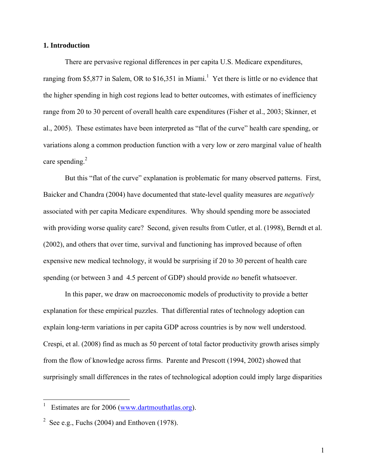#### **1. Introduction**

There are pervasive regional differences in per capita U.S. Medicare expenditures, ranging from \$5,877 in Salem, OR to \$16,351 in Miami.<sup>1</sup> Yet there is little or no evidence that the higher spending in high cost regions lead to better outcomes, with estimates of inefficiency range from 20 to 30 percent of overall health care expenditures (Fisher et al., 2003; Skinner, et al., 2005). These estimates have been interpreted as "flat of the curve" health care spending, or variations along a common production function with a very low or zero marginal value of health care spending. $2$ 

But this "flat of the curve" explanation is problematic for many observed patterns. First, Baicker and Chandra (2004) have documented that state-level quality measures are *negatively* associated with per capita Medicare expenditures. Why should spending more be associated with providing worse quality care? Second, given results from Cutler, et al. (1998), Berndt et al. (2002), and others that over time, survival and functioning has improved because of often expensive new medical technology, it would be surprising if 20 to 30 percent of health care spending (or between 3 and 4.5 percent of GDP) should provide *no* benefit whatsoever.

In this paper, we draw on macroeconomic models of productivity to provide a better explanation for these empirical puzzles. That differential rates of technology adoption can explain long-term variations in per capita GDP across countries is by now well understood. Crespi, et al. (2008) find as much as 50 percent of total factor productivity growth arises simply from the flow of knowledge across firms. Parente and Prescott (1994, 2002) showed that surprisingly small differences in the rates of technological adoption could imply large disparities

 $\overline{a}$ 

<sup>1</sup> Estimates are for 2006 (www.dartmouthatlas.org).

<sup>&</sup>lt;sup>2</sup> See e.g., Fuchs (2004) and Enthoven (1978).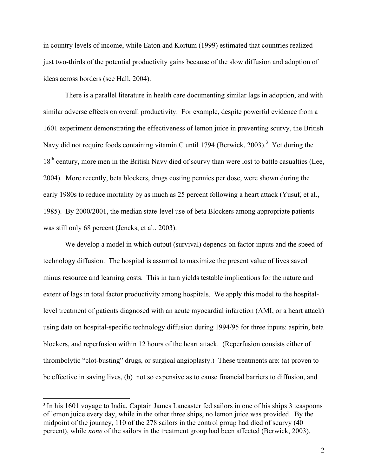in country levels of income, while Eaton and Kortum (1999) estimated that countries realized just two-thirds of the potential productivity gains because of the slow diffusion and adoption of ideas across borders (see Hall, 2004).

There is a parallel literature in health care documenting similar lags in adoption, and with similar adverse effects on overall productivity. For example, despite powerful evidence from a 1601 experiment demonstrating the effectiveness of lemon juice in preventing scurvy, the British Navy did not require foods containing vitamin C until 1794 (Berwick, 2003).<sup>3</sup> Yet during the 18<sup>th</sup> century, more men in the British Navy died of scurvy than were lost to battle casualties (Lee, 2004). More recently, beta blockers, drugs costing pennies per dose, were shown during the early 1980s to reduce mortality by as much as 25 percent following a heart attack (Yusuf, et al., 1985). By 2000/2001, the median state-level use of beta Blockers among appropriate patients was still only 68 percent (Jencks, et al., 2003).

We develop a model in which output (survival) depends on factor inputs and the speed of technology diffusion. The hospital is assumed to maximize the present value of lives saved minus resource and learning costs. This in turn yields testable implications for the nature and extent of lags in total factor productivity among hospitals. We apply this model to the hospitallevel treatment of patients diagnosed with an acute myocardial infarction (AMI, or a heart attack) using data on hospital-specific technology diffusion during 1994/95 for three inputs: aspirin, beta blockers, and reperfusion within 12 hours of the heart attack. (Reperfusion consists either of thrombolytic "clot-busting" drugs, or surgical angioplasty.) These treatments are: (a) proven to be effective in saving lives, (b) not so expensive as to cause financial barriers to diffusion, and

<sup>&</sup>lt;sup>3</sup> In his 1601 voyage to India, Captain James Lancaster fed sailors in one of his ships 3 teaspoons of lemon juice every day, while in the other three ships, no lemon juice was provided. By the midpoint of the journey, 110 of the 278 sailors in the control group had died of scurvy (40 percent), while *none* of the sailors in the treatment group had been affected (Berwick, 2003).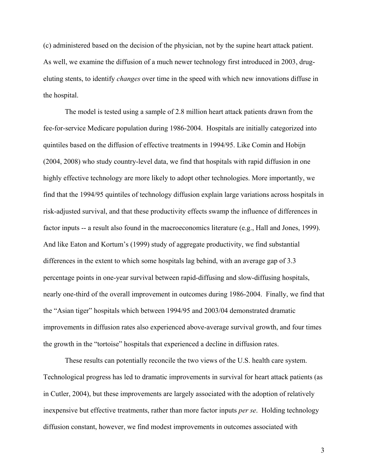(c) administered based on the decision of the physician, not by the supine heart attack patient. As well, we examine the diffusion of a much newer technology first introduced in 2003, drugeluting stents, to identify *changes* over time in the speed with which new innovations diffuse in the hospital.

The model is tested using a sample of 2.8 million heart attack patients drawn from the fee-for-service Medicare population during 1986-2004. Hospitals are initially categorized into quintiles based on the diffusion of effective treatments in 1994/95. Like Comin and Hobijn (2004, 2008) who study country-level data, we find that hospitals with rapid diffusion in one highly effective technology are more likely to adopt other technologies. More importantly, we find that the 1994/95 quintiles of technology diffusion explain large variations across hospitals in risk-adjusted survival, and that these productivity effects swamp the influence of differences in factor inputs -- a result also found in the macroeconomics literature (e.g., Hall and Jones, 1999). And like Eaton and Kortum's (1999) study of aggregate productivity, we find substantial differences in the extent to which some hospitals lag behind, with an average gap of 3.3 percentage points in one-year survival between rapid-diffusing and slow-diffusing hospitals, nearly one-third of the overall improvement in outcomes during 1986-2004. Finally, we find that the "Asian tiger" hospitals which between 1994/95 and 2003/04 demonstrated dramatic improvements in diffusion rates also experienced above-average survival growth, and four times the growth in the "tortoise" hospitals that experienced a decline in diffusion rates.

These results can potentially reconcile the two views of the U.S. health care system. Technological progress has led to dramatic improvements in survival for heart attack patients (as in Cutler, 2004), but these improvements are largely associated with the adoption of relatively inexpensive but effective treatments, rather than more factor inputs *per se*. Holding technology diffusion constant, however, we find modest improvements in outcomes associated with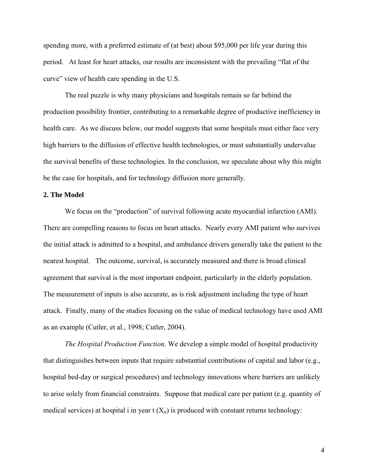spending more, with a preferred estimate of (at best) about \$95,000 per life year during this period. At least for heart attacks, our results are inconsistent with the prevailing "flat of the curve" view of health care spending in the U.S.

The real puzzle is why many physicians and hospitals remain so far behind the production possibility frontier, contributing to a remarkable degree of productive inefficiency in health care. As we discuss below, our model suggests that some hospitals must either face very high barriers to the diffusion of effective health technologies, or must substantially undervalue the survival benefits of these technologies. In the conclusion, we speculate about why this might be the case for hospitals, and for technology diffusion more generally.

#### **2. The Model**

We focus on the "production" of survival following acute myocardial infarction (AMI). There are compelling reasons to focus on heart attacks. Nearly every AMI patient who survives the initial attack is admitted to a hospital, and ambulance drivers generally take the patient to the nearest hospital. The outcome, survival, is accurately measured and there is broad clinical agreement that survival is the most important endpoint, particularly in the elderly population. The measurement of inputs is also accurate, as is risk adjustment including the type of heart attack. Finally, many of the studies focusing on the value of medical technology have used AMI as an example (Cutler, et al., 1998; Cutler, 2004).

*The Hospital Production Function.* We develop a simple model of hospital productivity that distinguishes between inputs that require substantial contributions of capital and labor (e.g., hospital bed-day or surgical procedures) and technology innovations where barriers are unlikely to arise solely from financial constraints. Suppose that medical care per patient (e.g. quantity of medical services) at hospital i in year  $t(X_{it})$  is produced with constant returns technology: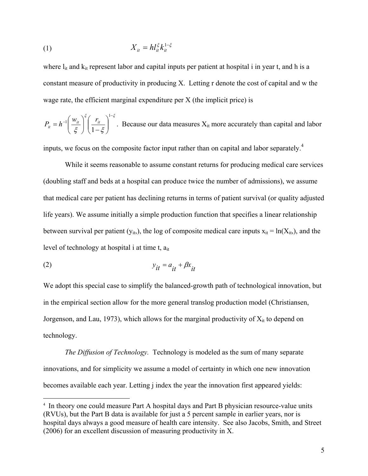$$
(1) \t\t X_{it} = h l_{it}^{\xi} k_{it}^{1-\xi}
$$

where  $l_{it}$  and  $k_{it}$  represent labor and capital inputs per patient at hospital i in year t, and h is a constant measure of productivity in producing X. Letting r denote the cost of capital and w the wage rate, the efficient marginal expenditure per X (the implicit price) is

$$
P_{it} = h^{-1} \left(\frac{w_{it}}{\xi}\right)^{\xi} \left(\frac{r_{it}}{1-\xi}\right)^{1-\xi}.
$$
 Because our data measures  $X_{it}$  more accurately than capital and labor

inputs, we focus on the composite factor input rather than on capital and labor separately.<sup>4</sup>

While it seems reasonable to assume constant returns for producing medical care services (doubling staff and beds at a hospital can produce twice the number of admissions), we assume that medical care per patient has declining returns in terms of patient survival (or quality adjusted life years). We assume initially a simple production function that specifies a linear relationship between survival per patient ( $y_{it}$ ), the log of composite medical care inputs  $x_{it} = ln(X_{it})$ , and the level of technology at hospital i at time t, ait

$$
y_{it} = a_{it} + \beta x_{it}
$$

1

We adopt this special case to simplify the balanced-growth path of technological innovation, but in the empirical section allow for the more general translog production model (Christiansen, Jorgenson, and Lau, 1973), which allows for the marginal productivity of  $X_{it}$  to depend on technology.

*The Diffusion of Technology.* Technology is modeled as the sum of many separate innovations, and for simplicity we assume a model of certainty in which one new innovation becomes available each year. Letting j index the year the innovation first appeared yields:

<sup>4</sup> In theory one could measure Part A hospital days and Part B physician resource-value units (RVUs), but the Part B data is available for just a 5 percent sample in earlier years, nor is hospital days always a good measure of health care intensity. See also Jacobs, Smith, and Street (2006) for an excellent discussion of measuring productivity in X.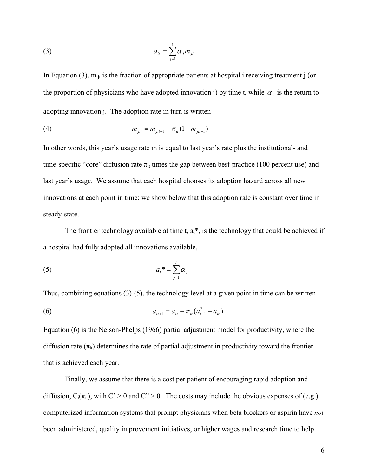$$
(3) \t\t\t a_{it} = \sum_{j=1}^{t} \alpha_j m_{jit}
$$

In Equation (3),  $m_{ijt}$  is the fraction of appropriate patients at hospital i receiving treatment j (or the proportion of physicians who have adopted innovation j) by time t, while  $\alpha_j$  is the return to adopting innovation j. The adoption rate in turn is written

(4) 
$$
m_{jit} = m_{jit-1} + \pi_{it} (1 - m_{jit-1})
$$

In other words, this year's usage rate m is equal to last year's rate plus the institutional- and time-specific "core" diffusion rate  $\pi_{it}$  times the gap between best-practice (100 percent use) and last year's usage. We assume that each hospital chooses its adoption hazard across all new innovations at each point in time; we show below that this adoption rate is constant over time in steady-state.

The frontier technology available at time t,  $a_t^*$ , is the technology that could be achieved if a hospital had fully adopted all innovations available,

$$
(5) \t at* = \sum_{j=1}^{t} \alpha_j
$$

Thus, combining equations (3)-(5), the technology level at a given point in time can be written

(6) 
$$
a_{i+1} = a_{i} + \pi_{i} (a_{i+1}^* - a_{i})
$$

Equation (6) is the Nelson-Phelps (1966) partial adjustment model for productivity, where the diffusion rate  $(\pi_{it})$  determines the rate of partial adjustment in productivity toward the frontier that is achieved each year.

Finally, we assume that there is a cost per patient of encouraging rapid adoption and diffusion,  $C_i(\pi_{it})$ , with  $C' > 0$  and  $C'' > 0$ . The costs may include the obvious expenses of (e.g.) computerized information systems that prompt physicians when beta blockers or aspirin have *not* been administered, quality improvement initiatives, or higher wages and research time to help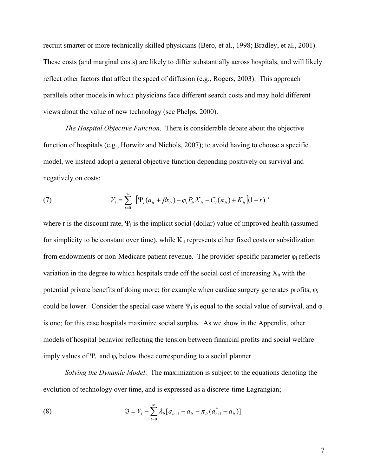recruit smarter or more technically skilled physicians (Bero, et al., 1998; Bradley, et al., 2001). These costs (and marginal costs) are likely to differ substantially across hospitals, and will likely reflect other factors that affect the speed of diffusion (e.g., Rogers, 2003). This approach parallels other models in which physicians face different search costs and may hold different views about the value of new technology (see Phelps, 2000).

*The Hospital Objective Function*. There is considerable debate about the objective function of hospitals (e.g., Horwitz and Nichols, 2007); to avoid having to choose a specific model, we instead adopt a general objective function depending positively on survival and negatively on costs:

(7) 
$$
V_i = \sum_{t=0}^{\infty} \left[ \Psi_i (a_{it} + \beta x_{it}) - \varphi_i P_{it} X_{it} - C_i (\pi_{it}) + K_{it} \right] (1+r)^{-t}
$$

where r is the discount rate,  $\Psi_i$  is the implicit social (dollar) value of improved health (assumed for simplicity to be constant over time), while  $K_{it}$  represents either fixed costs or subsidization from endowments or non-Medicare patient revenue. The provider-specific parameter  $\varphi_i$  reflects variation in the degree to which hospitals trade off the social cost of increasing  $X_{it}$  with the potential private benefits of doing more; for example when cardiac surgery generates profits, φ<sup>i</sup> could be lower. Consider the special case where  $\Psi_i$  is equal to the social value of survival, and  $\varphi_i$ is one; for this case hospitals maximize social surplus. As we show in the Appendix, other models of hospital behavior reflecting the tension between financial profits and social welfare imply values of  $\Psi_i$  and  $\varphi_i$  below those corresponding to a social planner.

*Solving the Dynamic Model*. The maximization is subject to the equations denoting the evolution of technology over time, and is expressed as a discrete-time Lagrangian;

(8) 
$$
\mathfrak{I} = V_i - \sum_{t=0}^{\infty} \lambda_{it} [a_{it+1} - a_{it} - \pi_{it} (a_{t+1}^* - a_{it})]
$$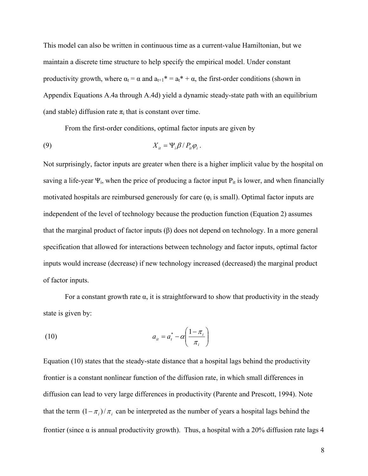This model can also be written in continuous time as a current-value Hamiltonian, but we maintain a discrete time structure to help specify the empirical model. Under constant productivity growth, where  $\alpha_t = \alpha$  and  $a_{t+1}^* = a_t^* + \alpha$ , the first-order conditions (shown in Appendix Equations A.4a through A.4d) yield a dynamic steady-state path with an equilibrium (and stable) diffusion rate  $\pi_i$  that is constant over time.

From the first-order conditions, optimal factor inputs are given by

$$
(9) \t\t\t X_{it} = \Psi_{i} \beta / P_{it} \varphi_{i}.
$$

Not surprisingly, factor inputs are greater when there is a higher implicit value by the hospital on saving a life-year  $\Psi_i$ , when the price of producing a factor input  $P_{it}$  is lower, and when financially motivated hospitals are reimbursed generously for care  $(\varphi_i$  is small). Optimal factor inputs are independent of the level of technology because the production function (Equation 2) assumes that the marginal product of factor inputs (β) does not depend on technology. In a more general specification that allowed for interactions between technology and factor inputs, optimal factor inputs would increase (decrease) if new technology increased (decreased) the marginal product of factor inputs.

For a constant growth rate  $\alpha$ , it is straightforward to show that productivity in the steady state is given by:

$$
a_{it} = a_t^* - \alpha \left(\frac{1 - \pi_i}{\pi_i}\right)
$$

Equation (10) states that the steady-state distance that a hospital lags behind the productivity frontier is a constant nonlinear function of the diffusion rate, in which small differences in diffusion can lead to very large differences in productivity (Parente and Prescott, 1994). Note that the term  $(1 - \pi_i)/\pi_i$  can be interpreted as the number of years a hospital lags behind the frontier (since  $\alpha$  is annual productivity growth). Thus, a hospital with a 20% diffusion rate lags 4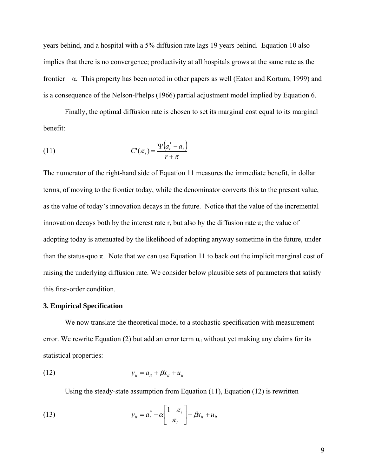years behind, and a hospital with a 5% diffusion rate lags 19 years behind. Equation 10 also implies that there is no convergence; productivity at all hospitals grows at the same rate as the frontier –  $\alpha$ . This property has been noted in other papers as well (Eaton and Kortum, 1999) and is a consequence of the Nelson-Phelps (1966) partial adjustment model implied by Equation 6.

Finally, the optimal diffusion rate is chosen to set its marginal cost equal to its marginal benefit:

$$
(11) \tC'(\pi_t) = \frac{\Psi(a_t^* - a_t)}{r + \pi}
$$

The numerator of the right-hand side of Equation 11 measures the immediate benefit, in dollar terms, of moving to the frontier today, while the denominator converts this to the present value, as the value of today's innovation decays in the future. Notice that the value of the incremental innovation decays both by the interest rate r, but also by the diffusion rate  $\pi$ ; the value of adopting today is attenuated by the likelihood of adopting anyway sometime in the future, under than the status-quo  $\pi$ . Note that we can use Equation 11 to back out the implicit marginal cost of raising the underlying diffusion rate. We consider below plausible sets of parameters that satisfy this first-order condition.

#### **3. Empirical Specification**

 We now translate the theoretical model to a stochastic specification with measurement error. We rewrite Equation (2) but add an error term  $u_{it}$  without yet making any claims for its statistical properties:

$$
y_{it} = a_{it} + \beta x_{it} + u_{it}
$$

Using the steady-state assumption from Equation (11), Equation (12) is rewritten

(13) 
$$
y_{it} = a_t^* - \alpha \left[ \frac{1 - \pi_i}{\pi_i} \right] + \beta x_{it} + u_{it}
$$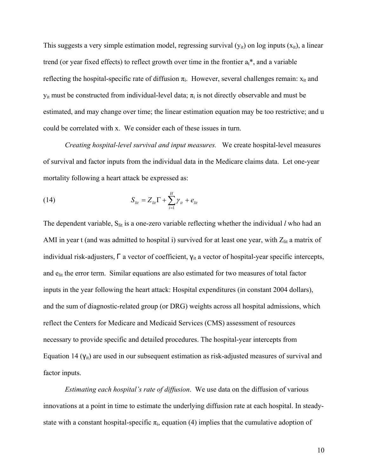This suggests a very simple estimation model, regressing survival  $(y_{it})$  on log inputs  $(x_{it})$ , a linear trend (or year fixed effects) to reflect growth over time in the frontier  $a_t^*$ , and a variable reflecting the hospital-specific rate of diffusion  $\pi_i$ . However, several challenges remain:  $x_{it}$  and  $y_{it}$  must be constructed from individual-level data;  $\pi_i$  is not directly observable and must be estimated, and may change over time; the linear estimation equation may be too restrictive; and u could be correlated with x. We consider each of these issues in turn.

*Creating hospital-level survival and input measures.* We create hospital-level measures of survival and factor inputs from the individual data in the Medicare claims data. Let one-year mortality following a heart attack be expressed as:

(14) 
$$
S_{lit} = Z_{lit} \Gamma + \sum_{i=1}^{H} \gamma_{it} + e_{lit}
$$

The dependent variable, S<sub>lit</sub> is a one-zero variable reflecting whether the individual *l* who had an AMI in year t (and was admitted to hospital i) survived for at least one year, with  $Z_{lit}$  a matrix of individual risk-adjusters, Γ a vector of coefficient, γ<sub>it</sub> a vector of hospital-year specific intercepts, and e<sub>lit</sub> the error term. Similar equations are also estimated for two measures of total factor inputs in the year following the heart attack: Hospital expenditures (in constant 2004 dollars), and the sum of diagnostic-related group (or DRG) weights across all hospital admissions, which reflect the Centers for Medicare and Medicaid Services (CMS) assessment of resources necessary to provide specific and detailed procedures. The hospital-year intercepts from Equation 14  $(V_{it})$  are used in our subsequent estimation as risk-adjusted measures of survival and factor inputs.

*Estimating each hospital's rate of diffusion*. We use data on the diffusion of various innovations at a point in time to estimate the underlying diffusion rate at each hospital. In steadystate with a constant hospital-specific  $\pi_i$ , equation (4) implies that the cumulative adoption of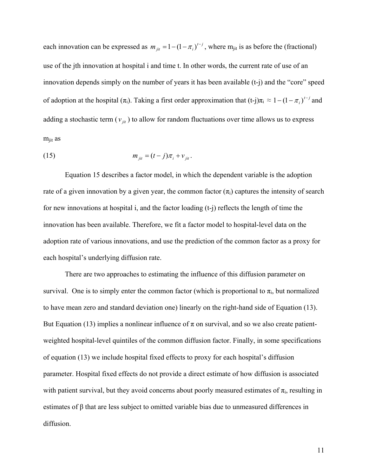each innovation can be expressed as  $m_{jit} = 1 - (1 - \pi_i)^{t-j}$ , where  $m_{jit}$  is as before the (fractional) use of the jth innovation at hospital i and time t. In other words, the current rate of use of an innovation depends simply on the number of years it has been available (t-j) and the "core" speed of adoption at the hospital  $(\pi_i)$ . Taking a first order approximation that  $(t-j)\pi_i \approx 1-(1-\pi_i)^{i-j}$  and adding a stochastic term  $(v_{ji}$ ) to allow for random fluctuations over time allows us to express mjit as

(15) 
$$
m_{jit} = (t-j)\pi_i + v_{jit}.
$$

Equation 15 describes a factor model, in which the dependent variable is the adoption rate of a given innovation by a given year, the common factor  $(\pi_i)$  captures the intensity of search for new innovations at hospital i, and the factor loading (t-j) reflects the length of time the innovation has been available. Therefore, we fit a factor model to hospital-level data on the adoption rate of various innovations, and use the prediction of the common factor as a proxy for each hospital's underlying diffusion rate.

 There are two approaches to estimating the influence of this diffusion parameter on survival. One is to simply enter the common factor (which is proportional to  $\pi_i$ , but normalized to have mean zero and standard deviation one) linearly on the right-hand side of Equation (13). But Equation (13) implies a nonlinear influence of  $\pi$  on survival, and so we also create patientweighted hospital-level quintiles of the common diffusion factor. Finally, in some specifications of equation (13) we include hospital fixed effects to proxy for each hospital's diffusion parameter. Hospital fixed effects do not provide a direct estimate of how diffusion is associated with patient survival, but they avoid concerns about poorly measured estimates of  $\pi_i$ , resulting in estimates of β that are less subject to omitted variable bias due to unmeasured differences in diffusion.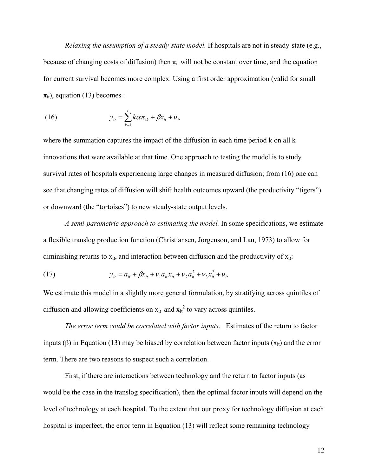*Relaxing the assumption of a steady-state model.* If hospitals are not in steady-state (e.g., because of changing costs of diffusion) then  $\pi_{it}$  will not be constant over time, and the equation for current survival becomes more complex. Using a first order approximation (valid for small  $\pi_{it}$ ), equation (13) becomes :

(16) 
$$
y_{it} = \sum_{k=1}^{t} k \alpha \pi_{ik} + \beta x_{it} + u_{it}
$$

where the summation captures the impact of the diffusion in each time period k on all k innovations that were available at that time. One approach to testing the model is to study survival rates of hospitals experiencing large changes in measured diffusion; from (16) one can see that changing rates of diffusion will shift health outcomes upward (the productivity "tigers") or downward (the "tortoises") to new steady-state output levels.

*A semi-parametric approach to estimating the model.* In some specifications, we estimate a flexible translog production function (Christiansen, Jorgenson, and Lau, 1973) to allow for diminishing returns to  $x_{it}$ , and interaction between diffusion and the productivity of  $x_{it}$ :

(17) 
$$
y_{it} = a_{it} + \beta x_{it} + v_1 a_{it} x_{it} + v_2 a_{it}^2 + v_3 x_{it}^2 + u_{it}
$$

We estimate this model in a slightly more general formulation, by stratifying across quintiles of diffusion and allowing coefficients on  $x_{it}$  and  $x_{it}^2$  to vary across quintiles.

*The error term could be correlated with factor inputs.* Estimates of the return to factor inputs (β) in Equation (13) may be biased by correlation between factor inputs ( $x<sub>it</sub>$ ) and the error term. There are two reasons to suspect such a correlation.

First, if there are interactions between technology and the return to factor inputs (as would be the case in the translog specification), then the optimal factor inputs will depend on the level of technology at each hospital. To the extent that our proxy for technology diffusion at each hospital is imperfect, the error term in Equation (13) will reflect some remaining technology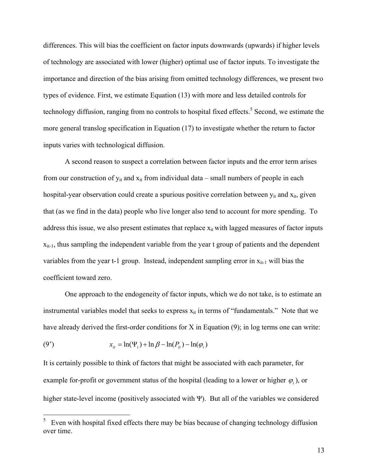differences. This will bias the coefficient on factor inputs downwards (upwards) if higher levels of technology are associated with lower (higher) optimal use of factor inputs. To investigate the importance and direction of the bias arising from omitted technology differences, we present two types of evidence. First, we estimate Equation (13) with more and less detailed controls for technology diffusion, ranging from no controls to hospital fixed effects.<sup>5</sup> Second, we estimate the more general translog specification in Equation (17) to investigate whether the return to factor inputs varies with technological diffusion.

A second reason to suspect a correlation between factor inputs and the error term arises from our construction of  $y_{it}$  and  $x_{it}$  from individual data – small numbers of people in each hospital-year observation could create a spurious positive correlation between  $y_{it}$  and  $x_{it}$ , given that (as we find in the data) people who live longer also tend to account for more spending. To address this issue, we also present estimates that replace  $x_{it}$  with lagged measures of factor inputs  $x_{it-1}$ , thus sampling the independent variable from the year t group of patients and the dependent variables from the year t-1 group. Instead, independent sampling error in  $x_{it-1}$  will bias the coefficient toward zero.

One approach to the endogeneity of factor inputs, which we do not take, is to estimate an instrumental variables model that seeks to express  $x_{it}$  in terms of "fundamentals." Note that we have already derived the first-order conditions for X in Equation (9); in log terms one can write:

(9') 
$$
x_{it} = \ln(\Psi_i) + \ln \beta - \ln(P_{it}) - \ln(\varphi_i)
$$

It is certainly possible to think of factors that might be associated with each parameter, for example for-profit or government status of the hospital (leading to a lower or higher  $\varphi$ <sub>*i*</sub>), or higher state-level income (positively associated with Ψ). But all of the variables we considered

 $\frac{1}{5}$  Even with hospital fixed effects there may be bias because of changing technology diffusion over time.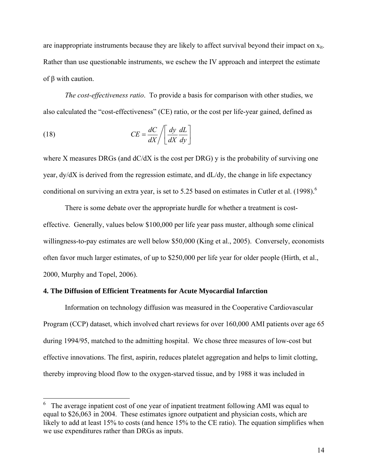are inappropriate instruments because they are likely to affect survival beyond their impact on  $x_{it}$ . Rather than use questionable instruments, we eschew the IV approach and interpret the estimate of β with caution.

*The cost-effectiveness ratio*. To provide a basis for comparison with other studies, we also calculated the "cost-effectiveness" (CE) ratio, or the cost per life-year gained, defined as

(18) 
$$
CE = \frac{dC}{dX} / \left[ \frac{dy}{dX} \frac{dL}{dy} \right]
$$

 $\overline{a}$ 

where X measures DRGs (and  $dC/dX$  is the cost per DRG) y is the probability of surviving one year, dy/dX is derived from the regression estimate, and dL/dy, the change in life expectancy conditional on surviving an extra year, is set to 5.25 based on estimates in Cutler et al.  $(1998)^6$ 

There is some debate over the appropriate hurdle for whether a treatment is costeffective. Generally, values below \$100,000 per life year pass muster, although some clinical willingness-to-pay estimates are well below \$50,000 (King et al., 2005). Conversely, economists often favor much larger estimates, of up to \$250,000 per life year for older people (Hirth, et al., 2000, Murphy and Topel, 2006).

### **4. The Diffusion of Efficient Treatments for Acute Myocardial Infarction**

Information on technology diffusion was measured in the Cooperative Cardiovascular Program (CCP) dataset, which involved chart reviews for over 160,000 AMI patients over age 65 during 1994/95, matched to the admitting hospital. We chose three measures of low-cost but effective innovations. The first, aspirin, reduces platelet aggregation and helps to limit clotting, thereby improving blood flow to the oxygen-starved tissue, and by 1988 it was included in

 $6\degree$  The average inpatient cost of one year of inpatient treatment following AMI was equal to equal to \$26,063 in 2004. These estimates ignore outpatient and physician costs, which are likely to add at least 15% to costs (and hence 15% to the CE ratio). The equation simplifies when we use expenditures rather than DRGs as inputs.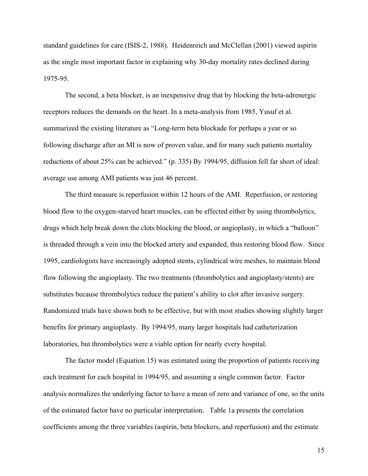standard guidelines for care (ISIS-2, 1988). Heidenreich and McClellan (2001) viewed aspirin as the single most important factor in explaining why 30-day mortality rates declined during 1975-95.

The second, a beta blocker, is an inexpensive drug that by blocking the beta-adrenergic receptors reduces the demands on the heart. In a meta-analysis from 1985, Yusuf et al. summarized the existing literature as "Long-term beta blockade for perhaps a year or so following discharge after an MI is now of proven value, and for many such patients mortality reductions of about 25% can be achieved." (p. 335) By 1994/95, diffusion fell far short of ideal: average use among AMI patients was just 46 percent.

The third measure is reperfusion within 12 hours of the AMI. Reperfusion, or restoring blood flow to the oxygen-starved heart muscles, can be effected either by using thrombolytics, drugs which help break down the clots blocking the blood, or angioplasty, in which a "balloon" is threaded through a vein into the blocked artery and expanded, thus restoring blood flow. Since 1995, cardiologists have increasingly adopted stents, cylindrical wire meshes, to maintain blood flow following the angioplasty. The two treatments (thrombolytics and angioplasty/stents) are substitutes because thrombolytics reduce the patient's ability to clot after invasive surgery. Randomized trials have shown both to be effective, but with most studies showing slightly larger benefits for primary angioplasty. By 1994/95, many larger hospitals had catheterization laboratories, but thrombolytics were a viable option for nearly every hospital.

The factor model (Equation 15) was estimated using the proportion of patients receiving each treatment for each hospital in 1994/95, and assuming a single common factor. Factor analysis normalizes the underlying factor to have a mean of zero and variance of one, so the units of the estimated factor have no particular interpretation. Table 1a presents the correlation coefficients among the three variables (aspirin, beta blockers, and reperfusion) and the estimate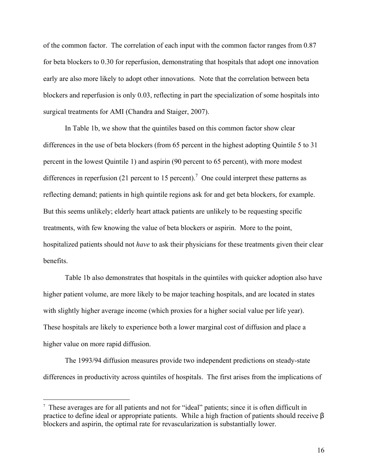of the common factor. The correlation of each input with the common factor ranges from 0.87 for beta blockers to 0.30 for reperfusion, demonstrating that hospitals that adopt one innovation early are also more likely to adopt other innovations. Note that the correlation between beta blockers and reperfusion is only 0.03, reflecting in part the specialization of some hospitals into surgical treatments for AMI (Chandra and Staiger, 2007).

In Table 1b, we show that the quintiles based on this common factor show clear differences in the use of beta blockers (from 65 percent in the highest adopting Quintile 5 to 31 percent in the lowest Quintile 1) and aspirin (90 percent to 65 percent), with more modest differences in reperfusion (21 percent to 15 percent).<sup>7</sup> One could interpret these patterns as reflecting demand; patients in high quintile regions ask for and get beta blockers, for example. But this seems unlikely; elderly heart attack patients are unlikely to be requesting specific treatments, with few knowing the value of beta blockers or aspirin. More to the point, hospitalized patients should not *have* to ask their physicians for these treatments given their clear benefits.

Table 1b also demonstrates that hospitals in the quintiles with quicker adoption also have higher patient volume, are more likely to be major teaching hospitals, and are located in states with slightly higher average income (which proxies for a higher social value per life year). These hospitals are likely to experience both a lower marginal cost of diffusion and place a higher value on more rapid diffusion.

The 1993/94 diffusion measures provide two independent predictions on steady-state differences in productivity across quintiles of hospitals. The first arises from the implications of

<sup>7</sup> These averages are for all patients and not for "ideal" patients; since it is often difficult in practice to define ideal or appropriate patients. While a high fraction of patients should receive β blockers and aspirin, the optimal rate for revascularization is substantially lower.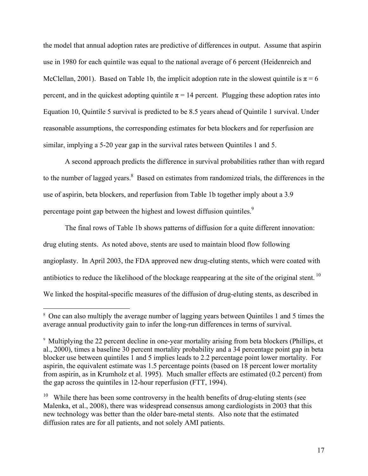the model that annual adoption rates are predictive of differences in output. Assume that aspirin use in 1980 for each quintile was equal to the national average of 6 percent (Heidenreich and McClellan, 2001). Based on Table 1b, the implicit adoption rate in the slowest quintile is  $\pi = 6$ percent, and in the quickest adopting quintile  $\pi$  = 14 percent. Plugging these adoption rates into Equation 10, Quintile 5 survival is predicted to be 8.5 years ahead of Quintile 1 survival. Under reasonable assumptions, the corresponding estimates for beta blockers and for reperfusion are similar, implying a 5-20 year gap in the survival rates between Quintiles 1 and 5.

A second approach predicts the difference in survival probabilities rather than with regard to the number of lagged years. $8$  Based on estimates from randomized trials, the differences in the use of aspirin, beta blockers, and reperfusion from Table 1b together imply about a 3.9 percentage point gap between the highest and lowest diffusion quintiles.<sup>9</sup>

The final rows of Table 1b shows patterns of diffusion for a quite different innovation: drug eluting stents. As noted above, stents are used to maintain blood flow following angioplasty. In April 2003, the FDA approved new drug-eluting stents, which were coated with antibiotics to reduce the likelihood of the blockage reappearing at the site of the original stent.<sup>10</sup> We linked the hospital-specific measures of the diffusion of drug-eluting stents, as described in

 $\overline{a}$ 

<sup>8</sup> One can also multiply the average number of lagging years between Quintiles 1 and 5 times the average annual productivity gain to infer the long-run differences in terms of survival.

<sup>9</sup> Multiplying the 22 percent decline in one-year mortality arising from beta blockers (Phillips, et al., 2000), times a baseline 30 percent mortality probability and a 34 percentage point gap in beta blocker use between quintiles 1 and 5 implies leads to 2.2 percentage point lower mortality. For aspirin, the equivalent estimate was 1.5 percentage points (based on 18 percent lower mortality from aspirin, as in Krumholz et al. 1995). Much smaller effects are estimated (0.2 percent) from the gap across the quintiles in 12-hour reperfusion (FTT, 1994).

<sup>&</sup>lt;sup>10</sup> While there has been some controversy in the health benefits of drug-eluting stents (see Malenka, et al., 2008), there was widespread consensus among cardiologists in 2003 that this new technology was better than the older bare-metal stents. Also note that the estimated diffusion rates are for all patients, and not solely AMI patients.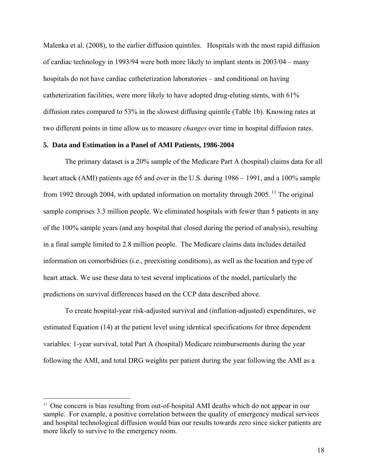Malenka et al. (2008), to the earlier diffusion quintiles. Hospitals with the most rapid diffusion of cardiac technology in 1993/94 were both more likely to implant stents in 2003/04 – many hospitals do not have cardiac catheterization laboratories – and conditional on having catheterization facilities, were more likely to have adopted drug-eluting stents, with 61% diffusion rates compared to 53% in the slowest diffusing quintile (Table 1b). Knowing rates at two different points in time allow us to measure *changes* over time in hospital diffusion rates.

#### **5. Data and Estimation in a Panel of AMI Patients, 1986-2004**

The primary dataset is a 20% sample of the Medicare Part A (hospital) claims data for all heart attack (AMI) patients age 65 and over in the U.S. during 1986 – 1991, and a 100% sample from 1992 through 2004, with updated information on mortality through 2005.<sup>11</sup> The original sample comprises 3.3 million people. We eliminated hospitals with fewer than 5 patients in any of the 100% sample years (and any hospital that closed during the period of analysis), resulting in a final sample limited to 2.8 million people. The Medicare claims data includes detailed information on comorbidities (i.e., preexisting conditions), as well as the location and type of heart attack. We use these data to test several implications of the model, particularly the predictions on survival differences based on the CCP data described above.

To create hospital-year risk-adjusted survival and (inflation-adjusted) expenditures, we estimated Equation (14) at the patient level using identical specifications for three dependent variables: 1-year survival, total Part A (hospital) Medicare reimbursements during the year following the AMI, and total DRG weights per patient during the year following the AMI as a

<sup>&</sup>lt;sup>11</sup> One concern is bias resulting from out-of-hospital AMI deaths which do not appear in our sample. For example, a positive correlation between the quality of emergency medical services and hospital technological diffusion would bias our results towards zero since sicker patients are more likely to survive to the emergency room.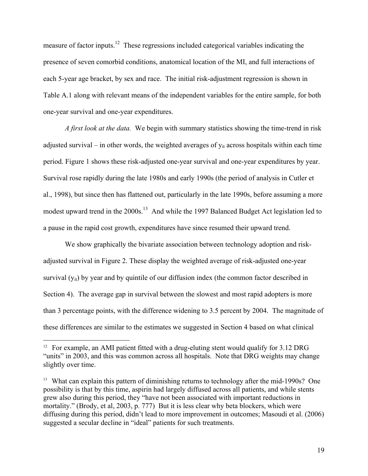measure of factor inputs.<sup>12</sup> These regressions included categorical variables indicating the presence of seven comorbid conditions, anatomical location of the MI, and full interactions of each 5-year age bracket, by sex and race. The initial risk-adjustment regression is shown in Table A.1 along with relevant means of the independent variables for the entire sample, for both one-year survival and one-year expenditures.

*A first look at the data.* We begin with summary statistics showing the time-trend in risk adjusted survival – in other words, the weighted averages of  $y_{it}$  across hospitals within each time period. Figure 1 shows these risk-adjusted one-year survival and one-year expenditures by year. Survival rose rapidly during the late 1980s and early 1990s (the period of analysis in Cutler et al., 1998), but since then has flattened out, particularly in the late 1990s, before assuming a more modest upward trend in the 2000s.<sup>13</sup> And while the 1997 Balanced Budget Act legislation led to a pause in the rapid cost growth, expenditures have since resumed their upward trend.

We show graphically the bivariate association between technology adoption and riskadjusted survival in Figure 2. These display the weighted average of risk-adjusted one-year survival  $(y_{it})$  by year and by quintile of our diffusion index (the common factor described in Section 4). The average gap in survival between the slowest and most rapid adopters is more than 3 percentage points, with the difference widening to 3.5 percent by 2004. The magnitude of these differences are similar to the estimates we suggested in Section 4 based on what clinical

<sup>&</sup>lt;sup>12</sup> For example, an AMI patient fitted with a drug-eluting stent would qualify for 3.12 DRG "units" in 2003, and this was common across all hospitals. Note that DRG weights may change slightly over time.

<sup>&</sup>lt;sup>13</sup> What can explain this pattern of diminishing returns to technology after the mid-1990s? One possibility is that by this time, aspirin had largely diffused across all patients, and while stents grew also during this period, they "have not been associated with important reductions in mortality." (Brody, et al, 2003, p. 777) But it is less clear why beta blockers, which were diffusing during this period, didn't lead to more improvement in outcomes; Masoudi et al. (2006) suggested a secular decline in "ideal" patients for such treatments.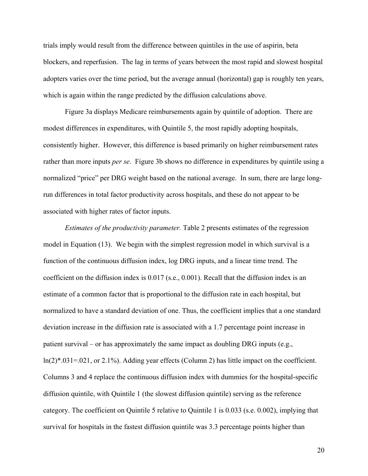trials imply would result from the difference between quintiles in the use of aspirin, beta blockers, and reperfusion. The lag in terms of years between the most rapid and slowest hospital adopters varies over the time period, but the average annual (horizontal) gap is roughly ten years, which is again within the range predicted by the diffusion calculations above.

Figure 3a displays Medicare reimbursements again by quintile of adoption. There are modest differences in expenditures, with Quintile 5, the most rapidly adopting hospitals, consistently higher. However, this difference is based primarily on higher reimbursement rates rather than more inputs *per se*. Figure 3b shows no difference in expenditures by quintile using a normalized "price" per DRG weight based on the national average. In sum, there are large longrun differences in total factor productivity across hospitals, and these do not appear to be associated with higher rates of factor inputs.

*Estimates of the productivity parameter.* Table 2 presents estimates of the regression model in Equation (13). We begin with the simplest regression model in which survival is a function of the continuous diffusion index, log DRG inputs, and a linear time trend. The coefficient on the diffusion index is 0.017 (s.e., 0.001). Recall that the diffusion index is an estimate of a common factor that is proportional to the diffusion rate in each hospital, but normalized to have a standard deviation of one. Thus, the coefficient implies that a one standard deviation increase in the diffusion rate is associated with a 1.7 percentage point increase in patient survival – or has approximately the same impact as doubling DRG inputs (e.g.,  $ln(2)$ \*.031=.021, or 2.1%). Adding year effects (Column 2) has little impact on the coefficient. Columns 3 and 4 replace the continuous diffusion index with dummies for the hospital-specific diffusion quintile, with Quintile 1 (the slowest diffusion quintile) serving as the reference category. The coefficient on Quintile 5 relative to Quintile 1 is 0.033 (s.e. 0.002), implying that survival for hospitals in the fastest diffusion quintile was 3.3 percentage points higher than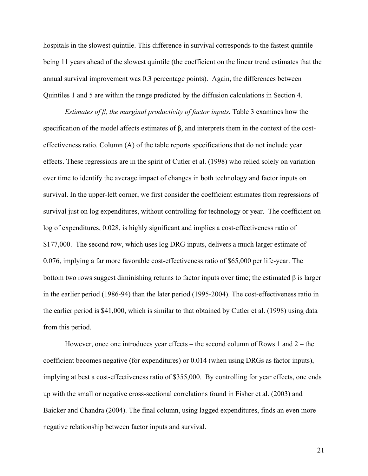hospitals in the slowest quintile. This difference in survival corresponds to the fastest quintile being 11 years ahead of the slowest quintile (the coefficient on the linear trend estimates that the annual survival improvement was 0.3 percentage points). Again, the differences between Quintiles 1 and 5 are within the range predicted by the diffusion calculations in Section 4.

*Estimates of β, the marginal productivity of factor inputs.* Table 3 examines how the specification of the model affects estimates of β, and interprets them in the context of the costeffectiveness ratio. Column (A) of the table reports specifications that do not include year effects. These regressions are in the spirit of Cutler et al. (1998) who relied solely on variation over time to identify the average impact of changes in both technology and factor inputs on survival. In the upper-left corner, we first consider the coefficient estimates from regressions of survival just on log expenditures, without controlling for technology or year. The coefficient on log of expenditures, 0.028, is highly significant and implies a cost-effectiveness ratio of \$177,000. The second row, which uses log DRG inputs, delivers a much larger estimate of 0.076, implying a far more favorable cost-effectiveness ratio of \$65,000 per life-year. The bottom two rows suggest diminishing returns to factor inputs over time; the estimated  $\beta$  is larger in the earlier period (1986-94) than the later period (1995-2004). The cost-effectiveness ratio in the earlier period is \$41,000, which is similar to that obtained by Cutler et al. (1998) using data from this period.

However, once one introduces year effects – the second column of Rows 1 and 2 – the coefficient becomes negative (for expenditures) or 0.014 (when using DRGs as factor inputs), implying at best a cost-effectiveness ratio of \$355,000. By controlling for year effects, one ends up with the small or negative cross-sectional correlations found in Fisher et al. (2003) and Baicker and Chandra (2004). The final column, using lagged expenditures, finds an even more negative relationship between factor inputs and survival.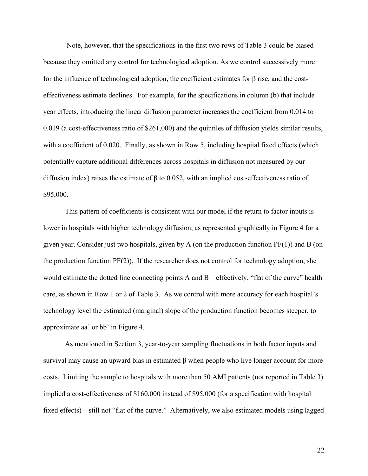Note, however, that the specifications in the first two rows of Table 3 could be biased because they omitted any control for technological adoption. As we control successively more for the influence of technological adoption, the coefficient estimates for β rise, and the costeffectiveness estimate declines. For example, for the specifications in column (b) that include year effects, introducing the linear diffusion parameter increases the coefficient from 0.014 to 0.019 (a cost-effectiveness ratio of \$261,000) and the quintiles of diffusion yields similar results, with a coefficient of 0.020. Finally, as shown in Row 5, including hospital fixed effects (which potentially capture additional differences across hospitals in diffusion not measured by our diffusion index) raises the estimate of β to 0.052, with an implied cost-effectiveness ratio of \$95,000.

This pattern of coefficients is consistent with our model if the return to factor inputs is lower in hospitals with higher technology diffusion, as represented graphically in Figure 4 for a given year. Consider just two hospitals, given by A (on the production function PF(1)) and B (on the production function PF(2)). If the researcher does not control for technology adoption, she would estimate the dotted line connecting points A and B – effectively, "flat of the curve" health care, as shown in Row 1 or 2 of Table 3. As we control with more accuracy for each hospital's technology level the estimated (marginal) slope of the production function becomes steeper, to approximate aa' or bb' in Figure 4.

As mentioned in Section 3, year-to-year sampling fluctuations in both factor inputs and survival may cause an upward bias in estimated β when people who live longer account for more costs. Limiting the sample to hospitals with more than 50 AMI patients (not reported in Table 3) implied a cost-effectiveness of \$160,000 instead of \$95,000 (for a specification with hospital fixed effects) – still not "flat of the curve." Alternatively, we also estimated models using lagged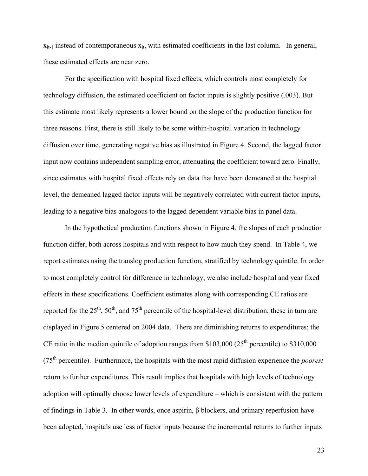$x_{it-1}$  instead of contemporaneous  $x_{it}$ , with estimated coefficients in the last column. In general, these estimated effects are near zero.

For the specification with hospital fixed effects, which controls most completely for technology diffusion, the estimated coefficient on factor inputs is slightly positive (.003). But this estimate most likely represents a lower bound on the slope of the production function for three reasons. First, there is still likely to be some within-hospital variation in technology diffusion over time, generating negative bias as illustrated in Figure 4. Second, the lagged factor input now contains independent sampling error, attenuating the coefficient toward zero. Finally, since estimates with hospital fixed effects rely on data that have been demeaned at the hospital level, the demeaned lagged factor inputs will be negatively correlated with current factor inputs, leading to a negative bias analogous to the lagged dependent variable bias in panel data.

In the hypothetical production functions shown in Figure 4, the slopes of each production function differ, both across hospitals and with respect to how much they spend. In Table 4, we report estimates using the translog production function, stratified by technology quintile. In order to most completely control for difference in technology, we also include hospital and year fixed effects in these specifications. Coefficient estimates along with corresponding CE ratios are reported for the  $25<sup>th</sup>$ ,  $50<sup>th</sup>$ , and  $75<sup>th</sup>$  percentile of the hospital-level distribution; these in turn are displayed in Figure 5 centered on 2004 data. There are diminishing returns to expenditures; the CE ratio in the median quintile of adoption ranges from \$103,000 ( $25<sup>th</sup>$  percentile) to \$310,000  $(75<sup>th</sup>$  percentile). Furthermore, the hospitals with the most rapid diffusion experience the *poorest* return to further expenditures. This result implies that hospitals with high levels of technology adoption will optimally choose lower levels of expenditure – which is consistent with the pattern of findings in Table 3. In other words, once aspirin, β blockers, and primary reperfusion have been adopted, hospitals use less of factor inputs because the incremental returns to further inputs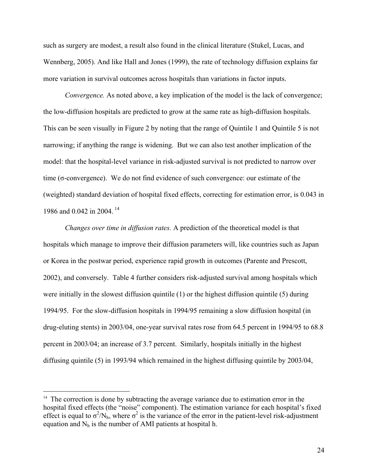such as surgery are modest, a result also found in the clinical literature (Stukel, Lucas, and Wennberg, 2005). And like Hall and Jones (1999), the rate of technology diffusion explains far more variation in survival outcomes across hospitals than variations in factor inputs.

*Convergence.* As noted above, a key implication of the model is the lack of convergence; the low-diffusion hospitals are predicted to grow at the same rate as high-diffusion hospitals. This can be seen visually in Figure 2 by noting that the range of Quintile 1 and Quintile 5 is not narrowing; if anything the range is widening. But we can also test another implication of the model: that the hospital-level variance in risk-adjusted survival is not predicted to narrow over time (σ-convergence). We do not find evidence of such convergence: our estimate of the (weighted) standard deviation of hospital fixed effects, correcting for estimation error, is 0.043 in 1986 and 0.042 in 2004.<sup>14</sup>

*Changes over time in diffusion rates.* A prediction of the theoretical model is that hospitals which manage to improve their diffusion parameters will, like countries such as Japan or Korea in the postwar period, experience rapid growth in outcomes (Parente and Prescott, 2002), and conversely. Table 4 further considers risk-adjusted survival among hospitals which were initially in the slowest diffusion quintile (1) or the highest diffusion quintile (5) during 1994/95. For the slow-diffusion hospitals in 1994/95 remaining a slow diffusion hospital (in drug-eluting stents) in 2003/04, one-year survival rates rose from 64.5 percent in 1994/95 to 68.8 percent in 2003/04; an increase of 3.7 percent. Similarly, hospitals initially in the highest diffusing quintile (5) in 1993/94 which remained in the highest diffusing quintile by 2003/04,

 $14$  The correction is done by subtracting the average variance due to estimation error in the hospital fixed effects (the "noise" component). The estimation variance for each hospital's fixed effect is equal to  $\sigma^2/N_h$ , where  $\sigma^2$  is the variance of the error in the patient-level risk-adjustment equation and  $N_h$  is the number of AMI patients at hospital h.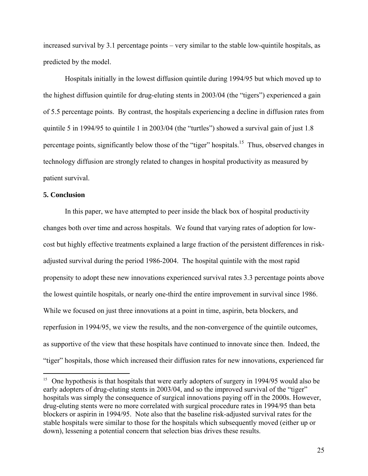increased survival by 3.1 percentage points – very similar to the stable low-quintile hospitals, as predicted by the model.

Hospitals initially in the lowest diffusion quintile during 1994/95 but which moved up to the highest diffusion quintile for drug-eluting stents in 2003/04 (the "tigers") experienced a gain of 5.5 percentage points. By contrast, the hospitals experiencing a decline in diffusion rates from quintile 5 in 1994/95 to quintile 1 in 2003/04 (the "turtles") showed a survival gain of just 1.8 percentage points, significantly below those of the "tiger" hospitals.<sup>15</sup> Thus, observed changes in technology diffusion are strongly related to changes in hospital productivity as measured by patient survival.

#### **5. Conclusion**

 $\overline{a}$ 

In this paper, we have attempted to peer inside the black box of hospital productivity changes both over time and across hospitals. We found that varying rates of adoption for lowcost but highly effective treatments explained a large fraction of the persistent differences in riskadjusted survival during the period 1986-2004. The hospital quintile with the most rapid propensity to adopt these new innovations experienced survival rates 3.3 percentage points above the lowest quintile hospitals, or nearly one-third the entire improvement in survival since 1986. While we focused on just three innovations at a point in time, aspirin, beta blockers, and reperfusion in 1994/95, we view the results, and the non-convergence of the quintile outcomes, as supportive of the view that these hospitals have continued to innovate since then. Indeed, the "tiger" hospitals, those which increased their diffusion rates for new innovations, experienced far

<sup>&</sup>lt;sup>15</sup> One hypothesis is that hospitals that were early adopters of surgery in 1994/95 would also be early adopters of drug-eluting stents in 2003/04, and so the improved survival of the "tiger" hospitals was simply the consequence of surgical innovations paying off in the 2000s. However, drug-eluting stents were no more correlated with surgical procedure rates in 1994/95 than beta blockers or aspirin in 1994/95. Note also that the baseline risk-adjusted survival rates for the stable hospitals were similar to those for the hospitals which subsequently moved (either up or down), lessening a potential concern that selection bias drives these results.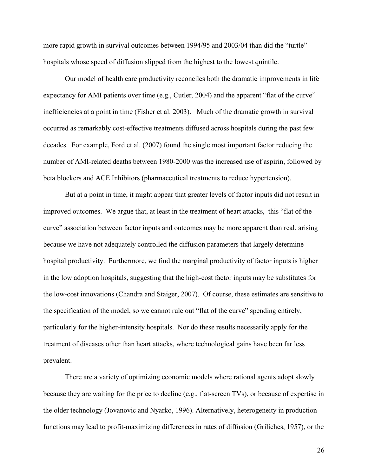more rapid growth in survival outcomes between 1994/95 and 2003/04 than did the "turtle" hospitals whose speed of diffusion slipped from the highest to the lowest quintile.

Our model of health care productivity reconciles both the dramatic improvements in life expectancy for AMI patients over time (e.g., Cutler, 2004) and the apparent "flat of the curve" inefficiencies at a point in time (Fisher et al. 2003). Much of the dramatic growth in survival occurred as remarkably cost-effective treatments diffused across hospitals during the past few decades. For example, Ford et al. (2007) found the single most important factor reducing the number of AMI-related deaths between 1980-2000 was the increased use of aspirin, followed by beta blockers and ACE Inhibitors (pharmaceutical treatments to reduce hypertension).

But at a point in time, it might appear that greater levels of factor inputs did not result in improved outcomes. We argue that, at least in the treatment of heart attacks, this "flat of the curve" association between factor inputs and outcomes may be more apparent than real, arising because we have not adequately controlled the diffusion parameters that largely determine hospital productivity. Furthermore, we find the marginal productivity of factor inputs is higher in the low adoption hospitals, suggesting that the high-cost factor inputs may be substitutes for the low-cost innovations (Chandra and Staiger, 2007). Of course, these estimates are sensitive to the specification of the model, so we cannot rule out "flat of the curve" spending entirely, particularly for the higher-intensity hospitals. Nor do these results necessarily apply for the treatment of diseases other than heart attacks, where technological gains have been far less prevalent.

There are a variety of optimizing economic models where rational agents adopt slowly because they are waiting for the price to decline (e.g., flat-screen TVs), or because of expertise in the older technology (Jovanovic and Nyarko, 1996). Alternatively, heterogeneity in production functions may lead to profit-maximizing differences in rates of diffusion (Griliches, 1957), or the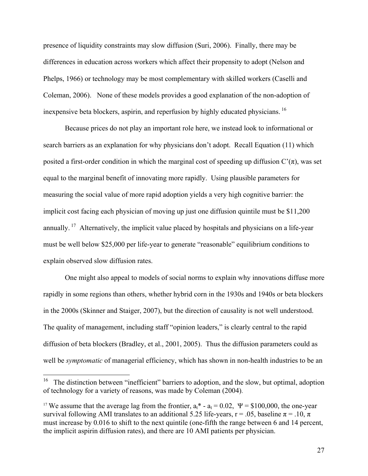presence of liquidity constraints may slow diffusion (Suri, 2006). Finally, there may be differences in education across workers which affect their propensity to adopt (Nelson and Phelps, 1966) or technology may be most complementary with skilled workers (Caselli and Coleman, 2006). None of these models provides a good explanation of the non-adoption of inexpensive beta blockers, aspirin, and reperfusion by highly educated physicians. 16

Because prices do not play an important role here, we instead look to informational or search barriers as an explanation for why physicians don't adopt. Recall Equation (11) which posited a first-order condition in which the marginal cost of speeding up diffusion  $C'(\pi)$ , was set equal to the marginal benefit of innovating more rapidly. Using plausible parameters for measuring the social value of more rapid adoption yields a very high cognitive barrier: the implicit cost facing each physician of moving up just one diffusion quintile must be \$11,200 annually. <sup>17</sup> Alternatively, the implicit value placed by hospitals and physicians on a life-year must be well below \$25,000 per life-year to generate "reasonable" equilibrium conditions to explain observed slow diffusion rates.

One might also appeal to models of social norms to explain why innovations diffuse more rapidly in some regions than others, whether hybrid corn in the 1930s and 1940s or beta blockers in the 2000s (Skinner and Staiger, 2007), but the direction of causality is not well understood. The quality of management, including staff "opinion leaders," is clearly central to the rapid diffusion of beta blockers (Bradley, et al., 2001, 2005). Thus the diffusion parameters could as well be *symptomatic* of managerial efficiency, which has shown in non-health industries to be an

 $\overline{a}$ 

<sup>16</sup> The distinction between "inefficient" barriers to adoption, and the slow, but optimal, adoption of technology for a variety of reasons, was made by Coleman (2004).

<sup>&</sup>lt;sup>17</sup> We assume that the average lag from the frontier,  $a_t^* - a_t = 0.02$ ,  $\Psi = $100,000$ , the one-year survival following AMI translates to an additional 5.25 life-years, r = .05, baseline  $\pi$  = .10,  $\pi$ must increase by 0.016 to shift to the next quintile (one-fifth the range between 6 and 14 percent, the implicit aspirin diffusion rates), and there are 10 AMI patients per physician.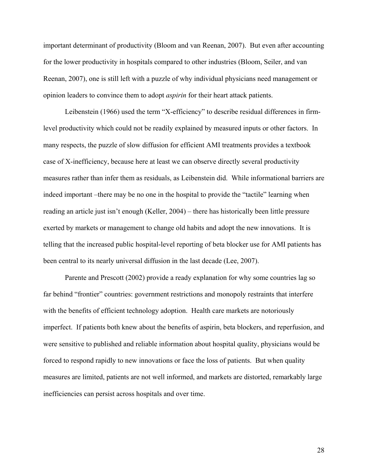important determinant of productivity (Bloom and van Reenan, 2007). But even after accounting for the lower productivity in hospitals compared to other industries (Bloom, Seiler, and van Reenan, 2007), one is still left with a puzzle of why individual physicians need management or opinion leaders to convince them to adopt *aspirin* for their heart attack patients.

Leibenstein (1966) used the term "X-efficiency" to describe residual differences in firmlevel productivity which could not be readily explained by measured inputs or other factors. In many respects, the puzzle of slow diffusion for efficient AMI treatments provides a textbook case of X-inefficiency, because here at least we can observe directly several productivity measures rather than infer them as residuals, as Leibenstein did. While informational barriers are indeed important –there may be no one in the hospital to provide the "tactile" learning when reading an article just isn't enough (Keller, 2004) – there has historically been little pressure exerted by markets or management to change old habits and adopt the new innovations. It is telling that the increased public hospital-level reporting of beta blocker use for AMI patients has been central to its nearly universal diffusion in the last decade (Lee, 2007).

Parente and Prescott (2002) provide a ready explanation for why some countries lag so far behind "frontier" countries: government restrictions and monopoly restraints that interfere with the benefits of efficient technology adoption. Health care markets are notoriously imperfect. If patients both knew about the benefits of aspirin, beta blockers, and reperfusion, and were sensitive to published and reliable information about hospital quality, physicians would be forced to respond rapidly to new innovations or face the loss of patients. But when quality measures are limited, patients are not well informed, and markets are distorted, remarkably large inefficiencies can persist across hospitals and over time.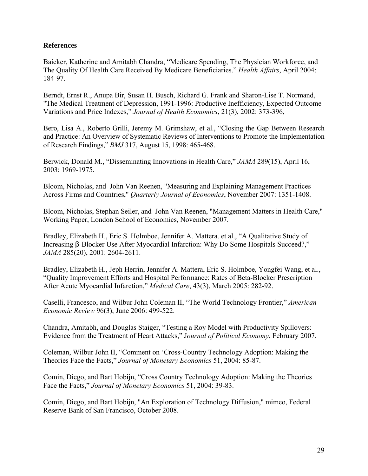### **References**

Baicker, Katherine and Amitabh Chandra, "Medicare Spending, The Physician Workforce, and The Quality Of Health Care Received By Medicare Beneficiaries." *Health Affairs*, April 2004: 184-97.

Berndt, Ernst R., Anupa Bir, Susan H. Busch, Richard G. Frank and Sharon-Lise T. Normand, "The Medical Treatment of Depression, 1991-1996: Productive Inefficiency, Expected Outcome Variations and Price Indexes," *Journal of Health Economics*, 21(3), 2002: 373-396,

Bero, Lisa A., Roberto Grilli, Jeremy M. Grimshaw, et al., "Closing the Gap Between Research and Practice: An Overview of Systematic Reviews of Interventions to Promote the Implementation of Research Findings," *BMJ* 317, August 15, 1998: 465-468.

Berwick, Donald M., "Disseminating Innovations in Health Care," *JAMA* 289(15), April 16, 2003: 1969-1975.

Bloom, Nicholas, and John Van Reenen, "Measuring and Explaining Management Practices Across Firms and Countries," *Quarterly Journal of Economics*, November 2007: 1351-1408.

Bloom, Nicholas, Stephan Seiler, and John Van Reenen, "Management Matters in Health Care," Working Paper, London School of Economics, November 2007.

Bradley, Elizabeth H., Eric S. Holmboe, Jennifer A. Mattera. et al., "A Qualitative Study of Increasing β-Blocker Use After Myocardial Infarction: Why Do Some Hospitals Succeed?," *JAMA* 285(20), 2001: 2604-2611.

Bradley, Elizabeth H., Jeph Herrin, Jennifer A. Mattera, Eric S. Holmboe, Yongfei Wang, et al., "Quality Improvement Efforts and Hospital Performance: Rates of Beta-Blocker Prescription After Acute Myocardial Infarction," *Medical Care*, 43(3), March 2005: 282-92.

Caselli, Francesco, and Wilbur John Coleman II, "The World Technology Frontier," *American Economic Review* 96(3), June 2006: 499-522.

Chandra, Amitabh, and Douglas Staiger, "Testing a Roy Model with Productivity Spillovers: Evidence from the Treatment of Heart Attacks," J*ournal of Political Economy*, February 2007.

Coleman, Wilbur John II, "Comment on 'Cross-Country Technology Adoption: Making the Theories Face the Facts," *Journal of Monetary Economics* 51, 2004: 85-87.

Comin, Diego, and Bart Hobijn, "Cross Country Technology Adoption: Making the Theories Face the Facts," *Journal of Monetary Economics* 51, 2004: 39-83.

Comin, Diego, and Bart Hobijn, "An Exploration of Technology Diffusion," mimeo, Federal Reserve Bank of San Francisco, October 2008.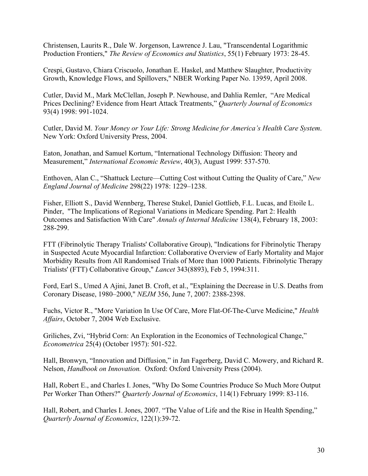Christensen, Laurits R., Dale W. Jorgenson, Lawrence J. Lau, "Transcendental Logarithmic Production Frontiers," *The Review of Economics and Statistics*, 55(1) February 1973: 28-45.

Crespi, Gustavo, Chiara Criscuolo, Jonathan E. Haskel, and Matthew Slaughter, Productivity Growth, Knowledge Flows, and Spillovers," NBER Working Paper No. 13959, April 2008.

Cutler, David M., Mark McClellan, Joseph P. Newhouse, and Dahlia Remler, "Are Medical Prices Declining? Evidence from Heart Attack Treatments," *Quarterly Journal of Economics*  93(4) 1998: 991-1024.

Cutler, David M. *Your Money or Your Life: Strong Medicine for America's Health Care System*. New York: Oxford University Press, 2004.

Eaton, Jonathan, and Samuel Kortum, "International Technology Diffusion: Theory and Measurement," *International Economic Review*, 40(3), August 1999: 537-570.

Enthoven, Alan C., "Shattuck Lecture—Cutting Cost without Cutting the Quality of Care," *New England Journal of Medicine* 298(22) 1978: 1229–1238.

Fisher, Elliott S., David Wennberg, Therese Stukel, Daniel Gottlieb, F.L. Lucas, and Etoile L. Pinder, "The Implications of Regional Variations in Medicare Spending. Part 2: Health Outcomes and Satisfaction With Care" *Annals of Internal Medicine* 138(4), February 18, 2003: 288-299.

FTT (Fibrinolytic Therapy Trialists' Collaborative Group), "Indications for Fibrinolytic Therapy in Suspected Acute Myocardial Infarction: Collaborative Overview of Early Mortality and Major Morbidity Results from All Randomised Trials of More than 1000 Patients. Fibrinolytic Therapy Trialists' (FTT) Collaborative Group," *Lancet* 343(8893), Feb 5, 1994:311.

Ford, Earl S., Umed A Ajini, Janet B. Croft, et al., "Explaining the Decrease in U.S. Deaths from Coronary Disease, 1980–2000," *NEJM* 356, June 7, 2007: 2388-2398.

Fuchs, Victor R., "More Variation In Use Of Care, More Flat-Of-The-Curve Medicine," *Health Affairs*, October 7, 2004 Web Exclusive.

Griliches, Zvi, "Hybrid Corn: An Exploration in the Economics of Technological Change," *Econometrica* 25(4) (October 1957): 501-522.

Hall, Bronwyn, "Innovation and Diffusion," in Jan Fagerberg, David C. Mowery, and Richard R. Nelson, *Handbook on Innovation.* Oxford: Oxford University Press (2004).

Hall, Robert E., and Charles I. Jones, "Why Do Some Countries Produce So Much More Output Per Worker Than Others?" *Quarterly Journal of Economics*, 114(1) February 1999: 83-116.

Hall, Robert, and Charles I. Jones, 2007. "The Value of Life and the Rise in Health Spending," *Quarterly Journal of Economics*, 122(1):39-72.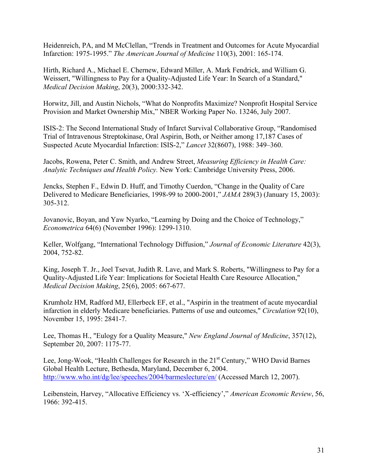Heidenreich, PA, and M McClellan, "Trends in Treatment and Outcomes for Acute Myocardial Infarction: 1975-1995." *The American Journal of Medicine* 110(3), 2001: 165-174.

Hirth, Richard A., Michael E. Chernew, Edward Miller, A. Mark Fendrick, and William G. Weissert, "Willingness to Pay for a Quality-Adjusted Life Year: In Search of a Standard," *Medical Decision Making*, 20(3), 2000:332-342.

Horwitz, Jill, and Austin Nichols, "What do Nonprofits Maximize? Nonprofit Hospital Service Provision and Market Ownership Mix," NBER Working Paper No. 13246, July 2007.

ISIS-2: The Second International Study of Infarct Survival Collaborative Group, "Randomised Trial of Intravenous Streptokinase, Oral Aspirin, Both, or Neither among 17,187 Cases of Suspected Acute Myocardial Infarction: ISIS-2," *Lancet* 32(8607), 1988: 349–360.

Jacobs, Rowena, Peter C. Smith, and Andrew Street, *Measuring Efficiency in Health Care: Analytic Techniques and Health Policy.* New York: Cambridge University Press, 2006.

Jencks, Stephen F., Edwin D. Huff, and Timothy Cuerdon, "Change in the Quality of Care Delivered to Medicare Beneficiaries, 1998-99 to 2000-2001," *JAMA* 289(3) (January 15, 2003): 305-312.

Jovanovic, Boyan, and Yaw Nyarko, "Learning by Doing and the Choice of Technology," *Econometrica* 64(6) (November 1996): 1299-1310.

Keller, Wolfgang, "International Technology Diffusion," *Journal of Economic Literature* 42(3), 2004, 752-82.

King, Joseph T. Jr., Joel Tsevat, Judith R. Lave, and Mark S. Roberts, "Willingness to Pay for a Quality-Adjusted Life Year: Implications for Societal Health Care Resource Allocation," *Medical Decision Making*, 25(6), 2005: 667-677.

Krumholz HM, Radford MJ, Ellerbeck EF, et al., "Aspirin in the treatment of acute myocardial infarction in elderly Medicare beneficiaries. Patterns of use and outcomes," *Circulation* 92(10), November 15, 1995: 2841-7.

Lee, Thomas H., "Eulogy for a Quality Measure," *New England Journal of Medicine*, 357(12), September 20, 2007: 1175-77.

Lee, Jong-Wook, "Health Challenges for Research in the  $21<sup>st</sup>$  Century," WHO David Barnes Global Health Lecture, Bethesda, Maryland, December 6, 2004. http://www.who.int/dg/lee/speeches/2004/barmeslecture/en/ (Accessed March 12, 2007).

Leibenstein, Harvey, "Allocative Efficiency vs. 'X-efficiency'," *American Economic Review*, 56, 1966: 392-415.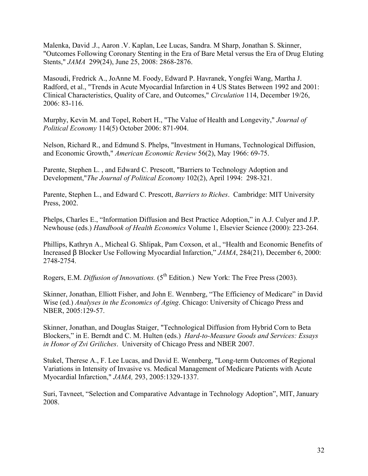Malenka, David .J., Aaron .V. Kaplan, Lee Lucas, Sandra. M Sharp, Jonathan S. Skinner, "Outcomes Following Coronary Stenting in the Era of Bare Metal versus the Era of Drug Eluting Stents," *JAMA* 299(24), June 25, 2008: 2868-2876.

Masoudi, Fredrick A., JoAnne M. Foody, Edward P. Havranek, Yongfei Wang, Martha J. Radford, et al., "Trends in Acute Myocardial Infarction in 4 US States Between 1992 and 2001: Clinical Characteristics, Quality of Care, and Outcomes," *Circulation* 114, December 19/26, 2006: 83-116.

Murphy, Kevin M. and Topel, Robert H., "The Value of Health and Longevity," *Journal of Political Economy* 114(5) October 2006: 871-904.

Nelson, Richard R., and Edmund S. Phelps, "Investment in Humans, Technological Diffusion, and Economic Growth," *American Economic Review* 56(2), May 1966: 69-75.

Parente, Stephen L. , and Edward C. Prescott, "Barriers to Technology Adoption and Development,"*The Journal of Political Economy* 102(2), April 1994: 298-321.

Parente, Stephen L., and Edward C. Prescott, *Barriers to Riches*. Cambridge: MIT University Press, 2002.

Phelps, Charles E., "Information Diffusion and Best Practice Adoption," in A.J. Culyer and J.P. Newhouse (eds.) *Handbook of Health Economics* Volume 1, Elsevier Science (2000): 223-264.

Phillips, Kathryn A., Micheal G. Shlipak, Pam Coxson, et al., "Health and Economic Benefits of Increased β Blocker Use Following Myocardial Infarction," *JAMA*, 284(21), December 6, 2000: 2748-2754.

Rogers, E.M. *Diffusion of Innovations.* (5<sup>th</sup> Edition.) New York: The Free Press (2003).

Skinner, Jonathan, Elliott Fisher, and John E. Wennberg, "The Efficiency of Medicare" in David Wise (ed.) *Analyses in the Economics of Aging*. Chicago: University of Chicago Press and NBER, 2005:129-57.

Skinner, Jonathan, and Douglas Staiger, "Technological Diffusion from Hybrid Corn to Beta Blockers," in E. Berndt and C. M. Hulten (eds.) *Hard-to-Measure Goods and Services: Essays in Honor of Zvi Griliches*. University of Chicago Press and NBER 2007.

Stukel, Therese A., F. Lee Lucas, and David E. Wennberg, "Long-term Outcomes of Regional Variations in Intensity of Invasive vs. Medical Management of Medicare Patients with Acute Myocardial Infarction," *JAMA,* 293, 2005:1329-1337.

Suri, Tavneet, "Selection and Comparative Advantage in Technology Adoption", MIT, January 2008.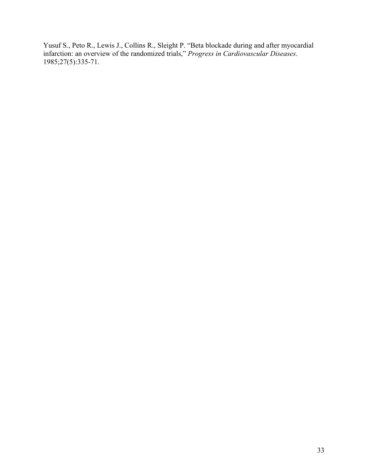Yusuf S., Peto R., Lewis J., Collins R., Sleight P. "Beta blockade during and after myocardial infarction: an overview of the randomized trials," *Progress in Cardiovascular Diseases*. 1985;27(5):335-71.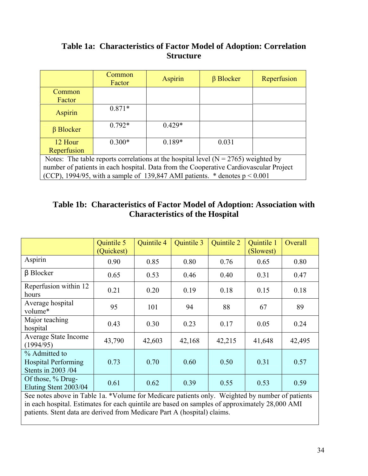# **Table 1a: Characteristics of Factor Model of Adoption: Correlation Structure**

|                                                                                        | Common<br>Factor                                                               | <b>Aspirin</b> | $\beta$ Blocker | Reperfusion |  |  |  |
|----------------------------------------------------------------------------------------|--------------------------------------------------------------------------------|----------------|-----------------|-------------|--|--|--|
| Common                                                                                 |                                                                                |                |                 |             |  |  |  |
| Factor                                                                                 |                                                                                |                |                 |             |  |  |  |
| <b>Aspirin</b>                                                                         | $0.871*$                                                                       |                |                 |             |  |  |  |
| $\beta$ Blocker                                                                        | $0.792*$                                                                       | $0.429*$       |                 |             |  |  |  |
| 12 Hour                                                                                | $0.300*$                                                                       | $0.189*$       | 0.031           |             |  |  |  |
| Reperfusion                                                                            |                                                                                |                |                 |             |  |  |  |
| Notes: The table reports correlations at the hospital level ( $N = 2765$ ) weighted by |                                                                                |                |                 |             |  |  |  |
| number of patients in each hospital. Data from the Cooperative Cardiovascular Project  |                                                                                |                |                 |             |  |  |  |
|                                                                                        | (CCP), 1994/95, with a sample of 139,847 AMI patients. $*$ denotes $p < 0.001$ |                |                 |             |  |  |  |

### **Table 1b: Characteristics of Factor Model of Adoption: Association with Characteristics of the Hospital**

|                                                                   | Quintile 5<br>(Quickest) | <b>Quintile 4</b> | <b>Quintile 3</b> | <b>Quintile 2</b> | Quintile 1<br>(Slowest) | Overall |
|-------------------------------------------------------------------|--------------------------|-------------------|-------------------|-------------------|-------------------------|---------|
| Aspirin                                                           | 0.90                     | 0.85              | 0.80              | 0.76              | 0.65                    | 0.80    |
| $\beta$ Blocker                                                   | 0.65                     | 0.53              | 0.46              | 0.40              | 0.31                    | 0.47    |
| Reperfusion within 12<br>hours                                    | 0.21                     | 0.20              | 0.19              | 0.18              | 0.15                    | 0.18    |
| Average hospital<br>volume*                                       | 95                       | 101               | 94                | 88                | 67                      | 89      |
| Major teaching<br>hospital                                        | 0.43                     | 0.30              | 0.23              | 0.17              | 0.05                    | 0.24    |
| Average State Income<br>(1994/95)                                 | 43,790                   | 42,603            | 42,168            | 42,215            | 41,648                  | 42,495  |
| % Admitted to<br><b>Hospital Performing</b><br>Stents in 2003 /04 | 0.73                     | 0.70              | 0.60              | 0.50              | 0.31                    | 0.57    |
| Of those, % Drug-<br>Eluting Stent 2003/04                        | 0.61                     | 0.62              | 0.39              | 0.55              | 0.53                    | 0.59    |

See notes above in Table 1a. \*Volume for Medicare patients only. Weighted by number of patients in each hospital. Estimates for each quintile are based on samples of approximately 28,000 AMI patients. Stent data are derived from Medicare Part A (hospital) claims.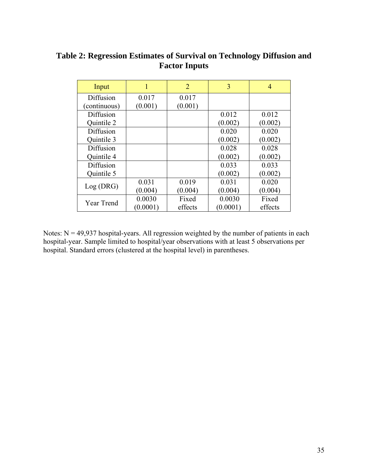| Input        |          | $\overline{2}$ | 3        | 4       |
|--------------|----------|----------------|----------|---------|
| Diffusion    | 0.017    | 0.017          |          |         |
| (continuous) | (0.001)  | (0.001)        |          |         |
| Diffusion    |          |                | 0.012    | 0.012   |
| Quintile 2   |          |                | (0.002)  | (0.002) |
| Diffusion    |          |                | 0.020    | 0.020   |
| Quintile 3   |          |                | (0.002)  | (0.002) |
| Diffusion    |          |                | 0.028    | 0.028   |
| Quintile 4   |          |                | (0.002)  | (0.002) |
| Diffusion    |          |                | 0.033    | 0.033   |
| Quintile 5   |          |                | (0.002)  | (0.002) |
| Log(DRG)     | 0.031    | 0.019          | 0.031    | 0.020   |
|              | (0.004)  | (0.004)        | (0.004)  | (0.004) |
| Year Trend   | 0.0030   | Fixed          | 0.0030   | Fixed   |
|              | (0.0001) | effects        | (0.0001) | effects |

### **Table 2: Regression Estimates of Survival on Technology Diffusion and Factor Inputs**

Notes:  $N = 49,937$  hospital-years. All regression weighted by the number of patients in each hospital-year. Sample limited to hospital/year observations with at least 5 observations per hospital. Standard errors (clustered at the hospital level) in parentheses.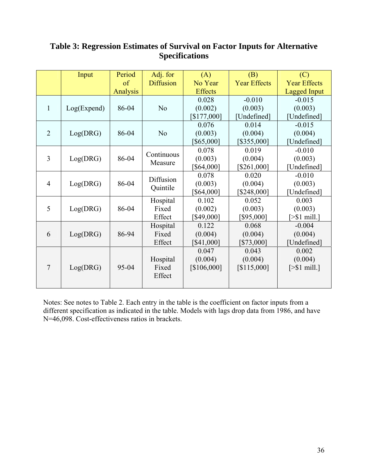# **Table 3: Regression Estimates of Survival on Factor Inputs for Alternative Specifications**

|                | Input       | Period   | Adj. for         | (A)            | (B)                 | (C)                    |
|----------------|-------------|----------|------------------|----------------|---------------------|------------------------|
|                |             | of       | <b>Diffusion</b> | No Year        | <b>Year Effects</b> | <b>Year Effects</b>    |
|                |             | Analysis |                  | <b>Effects</b> |                     | <b>Lagged Input</b>    |
|                |             |          |                  | 0.028          | $-0.010$            | $-0.015$               |
| $\mathbf{1}$   | Log(Expand) | 86-04    | N <sub>o</sub>   | (0.002)        | (0.003)             | (0.003)                |
|                |             |          |                  | [\$177,000]    | [Undefined]         | [Undefined]            |
|                |             |          |                  | 0.076          | 0.014               | $-0.015$               |
| $\overline{2}$ | Log(DRG)    | 86-04    | N <sub>0</sub>   | (0.003)        | (0.004)             | (0.004)                |
|                |             |          |                  | [\$65,000]     | [\$355,000]         | [Undefined]            |
|                |             |          | Continuous       | 0.078          | 0.019               | $-0.010$               |
| 3              | Log(DRG)    | 86-04    | Measure          | (0.003)        | (0.004)             | (0.003)                |
|                |             |          |                  | [\$64,000]     | [\$261,000]         | [Undefined]            |
|                |             |          | Diffusion        | 0.078          | 0.020               | $-0.010$               |
| $\overline{4}$ | Log(DRG)    | 86-04    | Quintile         | (0.003)        | (0.004)             | (0.003)                |
|                |             |          |                  | [\$64,000]     | [\$248,000]         | [Undefined]            |
|                |             |          | Hospital         | 0.102          | 0.052               | 0.003                  |
| 5              | Log(DRG)    | 86-04    | Fixed            | (0.002)        | (0.003)             | (0.003)                |
|                |             |          | Effect           | [\$49,000]     | [\$95,000]          | $[> $1 \text{ mill.}]$ |
|                |             |          | Hospital         | 0.122          | 0.068               | $-0.004$               |
| 6              | Log(DRG)    | 86-94    | Fixed            | (0.004)        | (0.004)             | (0.004)                |
|                |             |          | Effect           | [\$41,000]     | [\$73,000]          | [Undefined]            |
|                |             |          |                  | 0.047          | 0.043               | 0.002                  |
|                |             |          | Hospital         | (0.004)        | (0.004)             | (0.004)                |
| $\overline{7}$ | Log(DRG)    | 95-04    | Fixed            | [\$106,000]    | [\$115,000]         | $[> $1 \text{ mill.}]$ |
|                |             |          | Effect           |                |                     |                        |
|                |             |          |                  |                |                     |                        |

Notes: See notes to Table 2. Each entry in the table is the coefficient on factor inputs from a different specification as indicated in the table. Models with lags drop data from 1986, and have N=46,098. Cost-effectiveness ratios in brackets.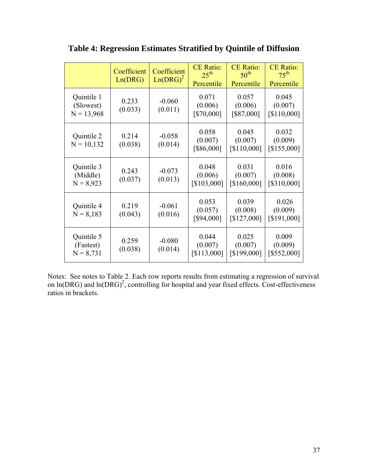|                                         | Coefficient<br>Ln(DRG) | Coefficient<br>$Ln(DRG)^2$ | <b>CE Ratio:</b><br>$25^{\text{th}}$<br>Percentile | <b>CE Ratio:</b><br>$50^{\text{th}}$<br>Percentile | <b>CE Ratio:</b><br>$75^{\text{th}}$<br>Percentile |
|-----------------------------------------|------------------------|----------------------------|----------------------------------------------------|----------------------------------------------------|----------------------------------------------------|
| Quintile 1<br>(Slowest)<br>$N = 13,968$ | 0.233<br>(0.033)       | $-0.060$<br>(0.011)        | 0.071<br>(0.006)<br>[\$70,000]                     | 0.057<br>(0.006)<br>[\$87,000]                     | 0.045<br>(0.007)<br>[\$110,000]                    |
| Quintile 2<br>$N = 10,132$              | 0.214<br>(0.038)       | $-0.058$<br>(0.014)        | 0.058<br>(0.007)<br>[\$86,000]                     | 0.045<br>(0.007)<br>[\$110,000]                    | 0.032<br>(0.009)<br>[\$155,000]                    |
| Quintile 3<br>(Middle)<br>$N = 8,923$   | 0.243<br>(0.037)       | $-0.073$<br>(0.013)        | 0.048<br>(0.006)<br>[\$103,000]                    | 0.031<br>(0.007)<br>[\$160,000]                    | 0.016<br>(0.008)<br>[\$310,000]                    |
| Quintile 4<br>$N = 8,183$               | 0.219<br>(0.043)       | $-0.061$<br>(0.016)        | 0.053<br>(0.057)<br>[\$94,000]                     | 0.039<br>(0.008)<br>[\$127,000]                    | 0.026<br>(0.009)<br>[\$191,000]                    |
| Quintile 5<br>(Fastest)<br>$N = 8,731$  | 0.259<br>(0.038)       | $-0.080$<br>(0.014)        | 0.044<br>(0.007)<br>[\$113,000]                    | 0.025<br>(0.007)<br>[\$199,000]                    | 0.009<br>(0.009)<br>[\$552,000]                    |

**Table 4: Regression Estimates Stratified by Quintile of Diffusion** 

Notes: See notes to Table 2. Each row reports results from estimating a regression of survival on  $ln(DRG)$  and  $ln(DRG)^2$ , controlling for hospital and year fixed effects. Cost-effectiveness ratios in brackets.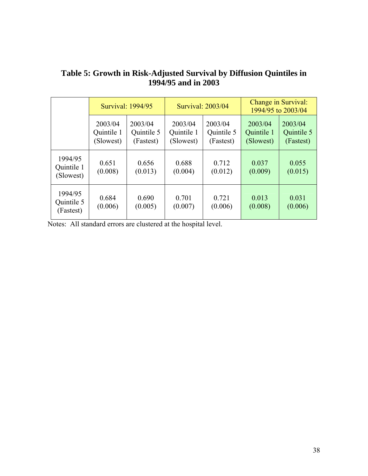|                                    | Survival: 1994/95                  |                                    |                                    | Survival: 2003/04                  | Change in Survival:<br>1994/95 to 2003/04 |                                    |
|------------------------------------|------------------------------------|------------------------------------|------------------------------------|------------------------------------|-------------------------------------------|------------------------------------|
|                                    | 2003/04<br>Quintile 1<br>(Slowest) | 2003/04<br>Quintile 5<br>(Fastest) | 2003/04<br>Quintile 1<br>(Slowest) | 2003/04<br>Quintile 5<br>(Fastest) | 2003/04<br>Quintile 1<br>(Slowest)        | 2003/04<br>Quintile 5<br>(Fastest) |
| 1994/95<br>Quintile 1<br>(Slowest) | 0.651<br>(0.008)                   | 0.656<br>(0.013)                   | 0.688<br>(0.004)                   | 0.712<br>(0.012)                   | 0.037<br>(0.009)                          | 0.055<br>(0.015)                   |
| 1994/95<br>Quintile 5<br>(Fastest) | 0.684<br>(0.006)                   | 0.690<br>(0.005)                   | 0.701<br>(0.007)                   | 0.721<br>(0.006)                   | 0.013<br>(0.008)                          | 0.031<br>(0.006)                   |

### **Table 5: Growth in Risk-Adjusted Survival by Diffusion Quintiles in 1994/95 and in 2003**

Notes: All standard errors are clustered at the hospital level.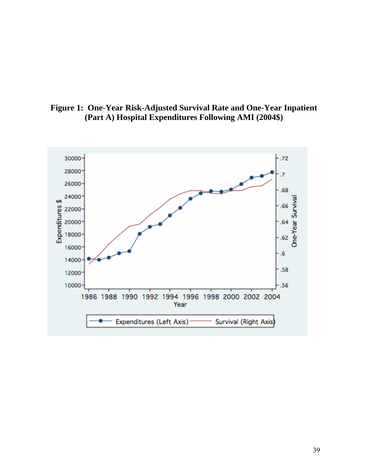

**Figure 1: One-Year Risk-Adjusted Survival Rate and One-Year Inpatient (Part A) Hospital Expenditures Following AMI (2004\$)**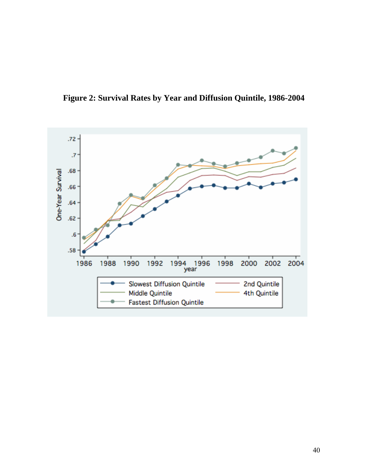

**Figure 2: Survival Rates by Year and Diffusion Quintile, 1986-2004**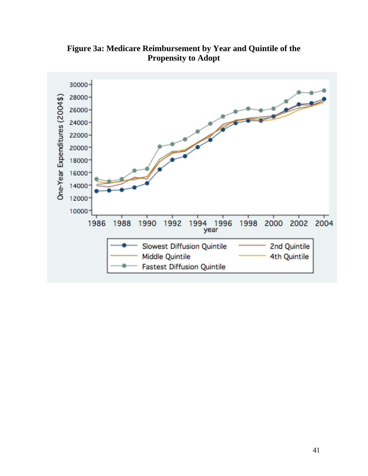

**Figure 3a: Medicare Reimbursement by Year and Quintile of the Propensity to Adopt**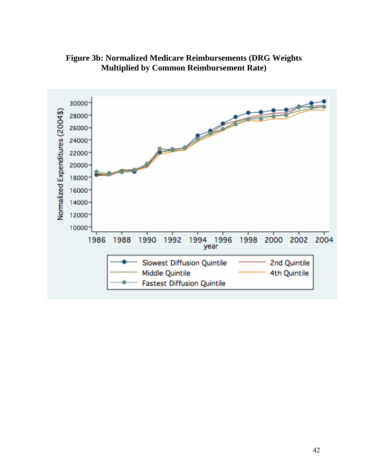

**Figure 3b: Normalized Medicare Reimbursements (DRG Weights Multiplied by Common Reimbursement Rate)**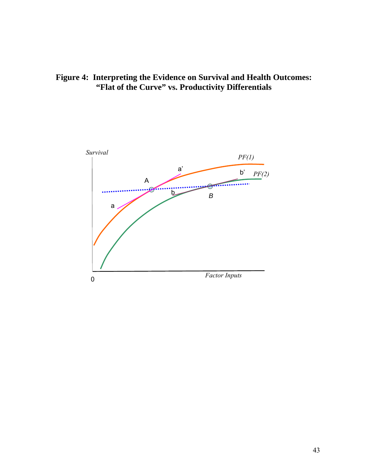**Figure 4: Interpreting the Evidence on Survival and Health Outcomes: "Flat of the Curve" vs. Productivity Differentials** 

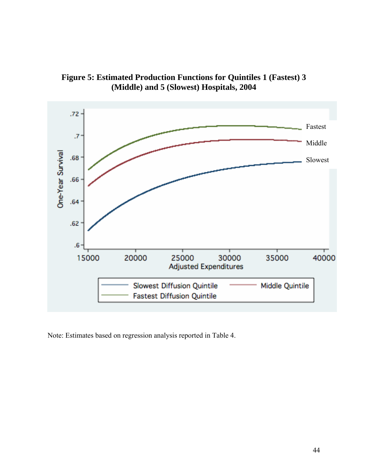

**Figure 5: Estimated Production Functions for Quintiles 1 (Fastest) 3 (Middle) and 5 (Slowest) Hospitals, 2004** 

Note: Estimates based on regression analysis reported in Table 4.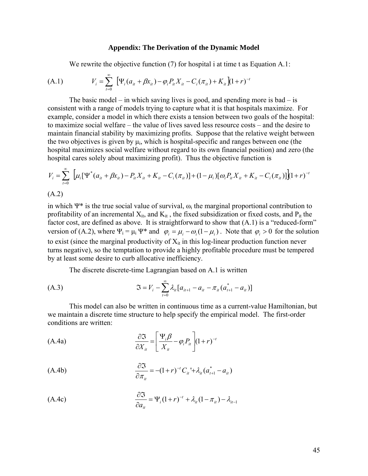#### **Appendix: The Derivation of the Dynamic Model**

We rewrite the objective function (7) for hospital i at time t as Equation A.1:

(A.1) 
$$
V_i = \sum_{t=0}^{\infty} \left[ \Psi_i (a_{it} + \beta x_{it}) - \varphi_i P_{it} X_{it} - C_i (\pi_{it}) + K_{it} \right] (1+r)^{-t}
$$

The basic model – in which saving lives is good, and spending more is  $bad - is$ consistent with a range of models trying to capture what it is that hospitals maximize. For example, consider a model in which there exists a tension between two goals of the hospital: to maximize social welfare – the value of lives saved less resource costs – and the desire to maintain financial stability by maximizing profits. Suppose that the relative weight between the two objectives is given by  $\mu_i$ , which is hospital-specific and ranges between one (the hospital maximizes social welfare without regard to its own financial position) and zero (the hospital cares solely about maximizing profit). Thus the objective function is

$$
V_{i} = \sum_{t=0}^{\infty} \left[ \mu_{i} [\Psi^{*} (a_{it} + \beta x_{it}) - P_{it} X_{it} + K_{it} - C_{i} (\pi_{it})] + (1 - \mu_{i}) [\omega_{i} P_{it} X_{it} + K_{it} - C_{i} (\pi_{it})] \right] (1 + r)^{-t}
$$
  
(A.2)

in which  $\Psi^*$  is the true social value of survival,  $\omega_i$  the marginal proportional contribution to profitability of an incremental  $X_{it}$ , and  $K_{it}$ , the fixed subsidization or fixed costs, and  $P_{it}$  the factor cost, are defined as above. It is straightforward to show that (A.1) is a "reduced-form" version of (A.2), where  $\Psi_i = \mu_i \Psi^*$  and  $\varphi_i = \mu_i - \omega_i(1 - \mu_i)$ . Note that  $\varphi_i > 0$  for the solution to exist (since the marginal productivity of  $X_{it}$  in this log-linear production function never turns negative), so the temptation to provide a highly profitable procedure must be tempered by at least some desire to curb allocative inefficiency.

The discrete discrete-time Lagrangian based on A.1 is written

(A.3) 
$$
\mathfrak{I} = V_i - \sum_{t=0}^{\infty} \lambda_{it} [a_{it+1} - a_{it} - \pi_{it} (a_{t+1}^* - a_{it})]
$$

This model can also be written in continuous time as a current-value Hamiltonian, but we maintain a discrete time structure to help specify the empirical model. The first-order conditions are written:

(A.4a) 
$$
\frac{\partial \mathfrak{I}}{\partial X_{it}} = \left[ \frac{\Psi_i \beta}{X_{it}} - \varphi_i P_{it} \right] (1+r)^{-t}
$$

(A.4b) 
$$
\frac{\partial \mathfrak{I}}{\partial \pi_{ii}} = -(1+r)^{-t} C_{ii} + \lambda_{ii} (a_{i+1}^* - a_{ii})
$$

$$
\frac{\partial \mathfrak{S}}{\partial a_{it}} = \Psi_i (1+r)^{-t} + \lambda_{it} (1-\pi_{it}) - \lambda_{it-1}
$$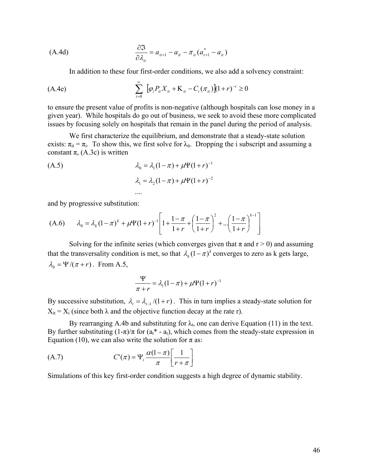(A.4d) 
$$
\frac{\partial \mathfrak{I}}{\partial \lambda_{it}} = a_{it+1} - a_{it} - \pi_{it} (a_{t+1}^* - a_{it})
$$

In addition to these four first-order conditions, we also add a solvency constraint:

(A.4e) 
$$
\sum_{t=0}^{\infty} [\varphi_{i}P_{it}X_{it} + K_{it} - C_{i}(\pi_{it})](1+r)^{-t} \ge 0
$$

to ensure the present value of profits is non-negative (although hospitals can lose money in a given year). While hospitals do go out of business, we seek to avoid these more complicated issues by focusing solely on hospitals that remain in the panel during the period of analysis.

We first characterize the equilibrium, and demonstrate that a steady-state solution exists:  $\pi_{it} = \pi_i$ . To show this, we first solve for  $\lambda_{it}$ . Dropping the i subscript and assuming a constant  $\pi$ , (A.3c) is written

(A.5)  
\n
$$
\lambda_0 = \lambda_1 (1 - \pi) + \mu \Psi (1 + r)^{-1}
$$
\n
$$
\lambda_1 = \lambda_2 (1 - \pi) + \mu \Psi (1 + r)^{-2}
$$

....

and by progressive substitution:

(A.6) 
$$
\lambda_0 = \lambda_k (1 - \pi)^k + \mu \Psi (1 + r)^{-1} \left[ 1 + \frac{1 - \pi}{1 + r} + \left( \frac{1 - \pi}{1 + r} \right)^2 + \dots + \left( \frac{1 - \pi}{1 + r} \right)^{k - 1} \right]
$$

Solving for the infinite series (which converges given that  $\pi$  and  $r > 0$ ) and assuming that the transversality condition is met, so that  $\lambda_k (1 - \pi)^k$  converges to zero as k gets large,  $\lambda_0 = \Psi /(\pi + r)$ . From A.5,

$$
\frac{\Psi}{\pi+r} = \lambda_1(1-\pi) + \mu\Psi(1+r)^{-1}
$$

By successive substitution,  $\lambda = \lambda_{t-1} / (1 + r)$ . This in turn implies a steady-state solution for  $X_{it} = X_i$  (since both  $\lambda$  and the objective function decay at the rate r).

By rearranging A.4b and substituting for  $\lambda$ <sub>t</sub>, one can derive Equation (11) in the text. By further substituting  $(1-\pi)/\pi$  for  $(a_1^* - a_1)$ , which comes from the steady-state expression in Equation (10), we can also write the solution for  $\pi$  as:

(A.7) 
$$
C'(\pi) = \Psi_i \frac{\alpha(1-\pi)}{\pi} \left[ \frac{1}{r+\pi} \right]
$$

Simulations of this key first-order condition suggests a high degree of dynamic stability.